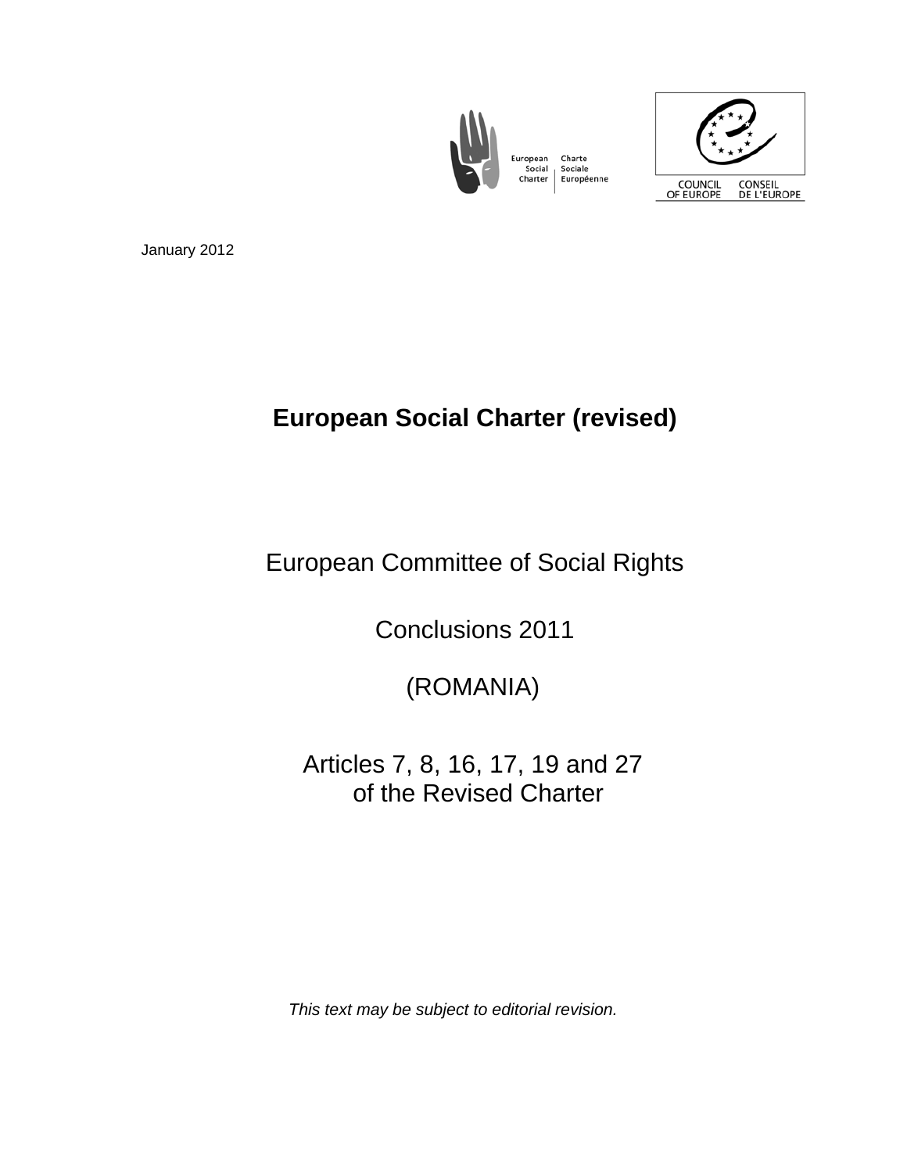

Charte Sociale Européenne



January 2012

# **European Social Charter (revised)**

European Committee of Social Rights

Conclusions 2011

(ROMANIA)

 Articles 7, 8, 16, 17, 19 and 27 of the Revised Charter

*This text may be subject to editorial revision.*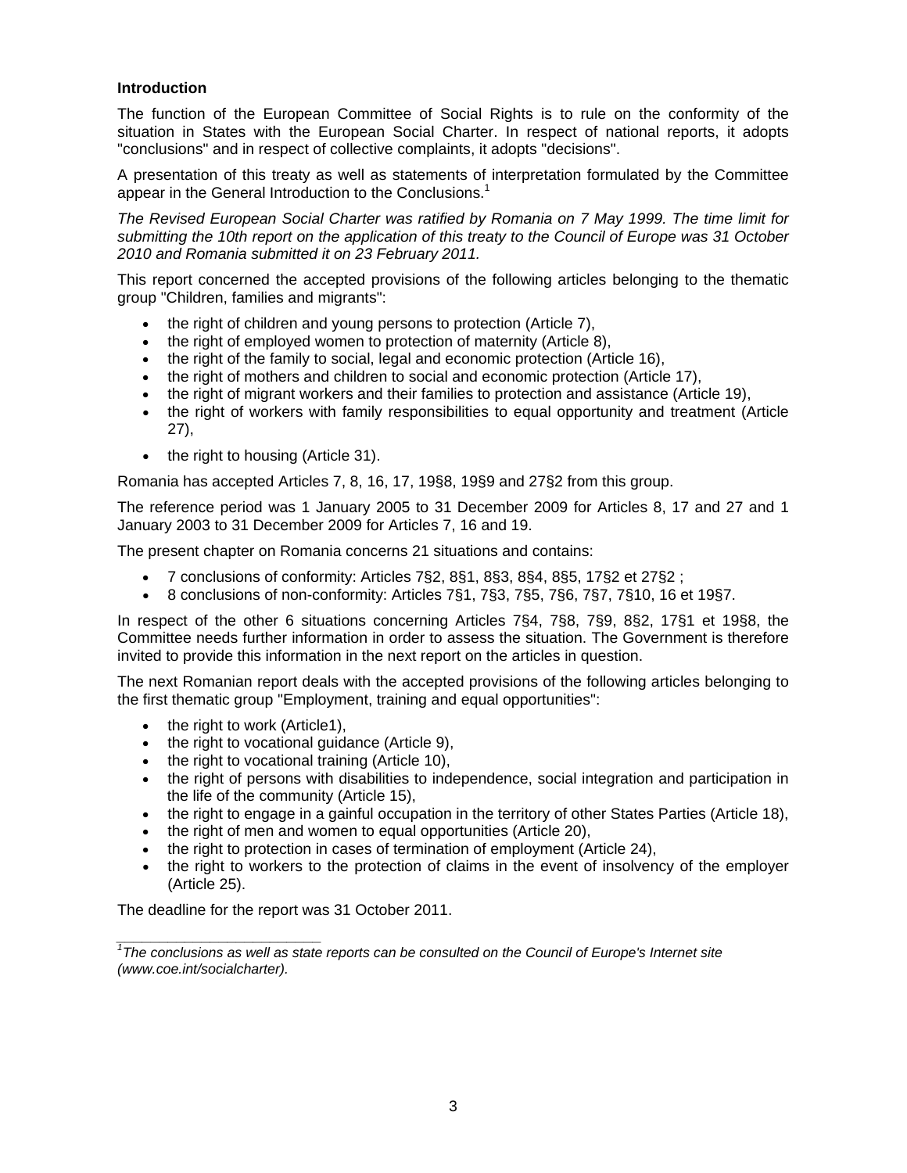## **Introduction**

The function of the European Committee of Social Rights is to rule on the conformity of the situation in States with the European Social Charter. In respect of national reports, it adopts "conclusions" and in respect of collective complaints, it adopts "decisions".

A presentation of this treaty as well as statements of interpretation formulated by the Committee appear in the General Introduction to the Conclusions.<sup>1</sup>

*The Revised European Social Charter was ratified by Romania on 7 May 1999. The time limit for submitting the 10th report on the application of this treaty to the Council of Europe was 31 October 2010 and Romania submitted it on 23 February 2011.*

This report concerned the accepted provisions of the following articles belonging to the thematic group "Children, families and migrants":

- the right of children and young persons to protection (Article 7),
- the right of employed women to protection of maternity (Article 8),
- the right of the family to social, legal and economic protection (Article 16),
- the right of mothers and children to social and economic protection (Article 17),
- the right of migrant workers and their families to protection and assistance (Article 19),
- the right of workers with family responsibilities to equal opportunity and treatment (Article 27),
- the right to housing (Article 31).

Romania has accepted Articles 7, 8, 16, 17, 19§8, 19§9 and 27§2 from this group.

The reference period was 1 January 2005 to 31 December 2009 for Articles 8, 17 and 27 and 1 January 2003 to 31 December 2009 for Articles 7, 16 and 19.

The present chapter on Romania concerns 21 situations and contains:

- 7 conclusions of conformity: Articles 7§2, 8§1, 8§3, 8§4, 8§5, 17§2 et 27§2 ;
- $\bullet$  8 conclusions of non-conformity: Articles 7§1, 7§3, 7§5, 7§6, 7§7, 7§10, 16 et 19§7.

In respect of the other 6 situations concerning Articles 7§4, 7§8, 7§9, 8§2, 17§1 et 19§8, the Committee needs further information in order to assess the situation. The Government is therefore invited to provide this information in the next report on the articles in question.

The next Romanian report deals with the accepted provisions of the following articles belonging to the first thematic group "Employment, training and equal opportunities":

• the right to work (Article1),

*\_\_\_\_\_\_\_\_\_\_\_\_\_\_\_\_\_\_\_\_\_\_\_\_* 

- $\bullet$  the right to vocational guidance (Article 9),
- the right to vocational training (Article 10),
- the right of persons with disabilities to independence, social integration and participation in the life of the community (Article 15),
- the right to engage in a gainful occupation in the territory of other States Parties (Article 18),
- the right of men and women to equal opportunities (Article 20),
- the right to protection in cases of termination of employment (Article 24),
- the right to workers to the protection of claims in the event of insolvency of the employer (Article 25).

The deadline for the report was 31 October 2011.

<sup>&</sup>lt;sup>1</sup>The conclusions as well as state reports can be consulted on the Council of Europe's Internet site *(www.coe.int/socialcharter).*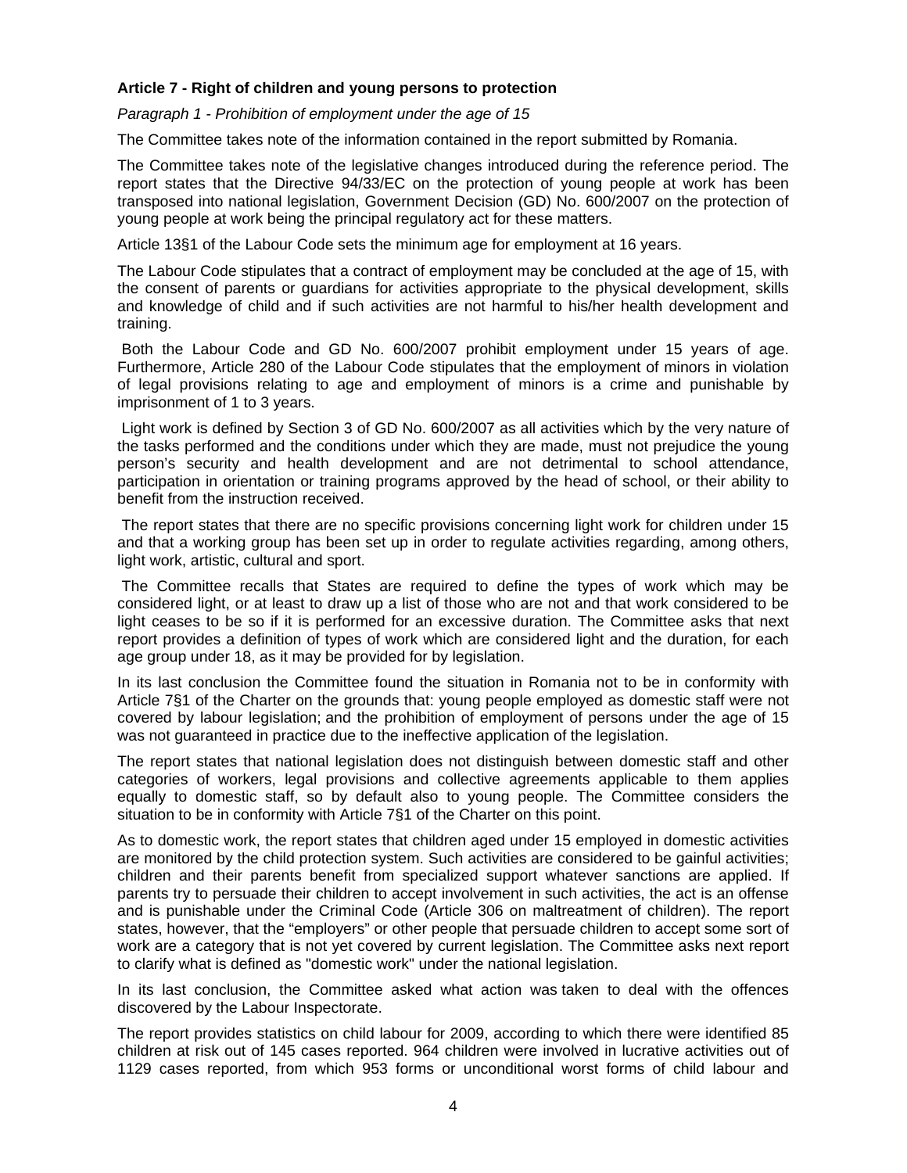# **Article 7 - Right of children and young persons to protection**

*Paragraph 1 - Prohibition of employment under the age of 15* 

The Committee takes note of the information contained in the report submitted by Romania.

The Committee takes note of the legislative changes introduced during the reference period. The report states that the Directive 94/33/EC on the protection of young people at work has been transposed into national legislation, Government Decision (GD) No. 600/2007 on the protection of young people at work being the principal regulatory act for these matters.

Article 13§1 of the Labour Code sets the minimum age for employment at 16 years.

The Labour Code stipulates that a contract of employment may be concluded at the age of 15, with the consent of parents or guardians for activities appropriate to the physical development, skills and knowledge of child and if such activities are not harmful to his/her health development and training.

 Both the Labour Code and GD No. 600/2007 prohibit employment under 15 years of age. Furthermore, Article 280 of the Labour Code stipulates that the employment of minors in violation of legal provisions relating to age and employment of minors is a crime and punishable by imprisonment of 1 to 3 years.

 Light work is defined by Section 3 of GD No. 600/2007 as all activities which by the very nature of the tasks performed and the conditions under which they are made, must not prejudice the young person's security and health development and are not detrimental to school attendance, participation in orientation or training programs approved by the head of school, or their ability to benefit from the instruction received.

 The report states that there are no specific provisions concerning light work for children under 15 and that a working group has been set up in order to regulate activities regarding, among others, light work, artistic, cultural and sport.

 The Committee recalls that States are required to define the types of work which may be considered light, or at least to draw up a list of those who are not and that work considered to be light ceases to be so if it is performed for an excessive duration. The Committee asks that next report provides a definition of types of work which are considered light and the duration, for each age group under 18, as it may be provided for by legislation.

In its last conclusion the Committee found the situation in Romania not to be in conformity with Article 7§1 of the Charter on the grounds that: young people employed as domestic staff were not covered by labour legislation; and the prohibition of employment of persons under the age of 15 was not guaranteed in practice due to the ineffective application of the legislation.

The report states that national legislation does not distinguish between domestic staff and other categories of workers, legal provisions and collective agreements applicable to them applies equally to domestic staff, so by default also to young people. The Committee considers the situation to be in conformity with Article 7§1 of the Charter on this point.

As to domestic work, the report states that children aged under 15 employed in domestic activities are monitored by the child protection system. Such activities are considered to be gainful activities; children and their parents benefit from specialized support whatever sanctions are applied. If parents try to persuade their children to accept involvement in such activities, the act is an offense and is punishable under the Criminal Code (Article 306 on maltreatment of children). The report states, however, that the "employers" or other people that persuade children to accept some sort of work are a category that is not yet covered by current legislation. The Committee asks next report to clarify what is defined as "domestic work" under the national legislation.

In its last conclusion, the Committee asked what action was taken to deal with the offences discovered by the Labour Inspectorate.

The report provides statistics on child labour for 2009, according to which there were identified 85 children at risk out of 145 cases reported. 964 children were involved in lucrative activities out of 1129 cases reported, from which 953 forms or unconditional worst forms of child labour and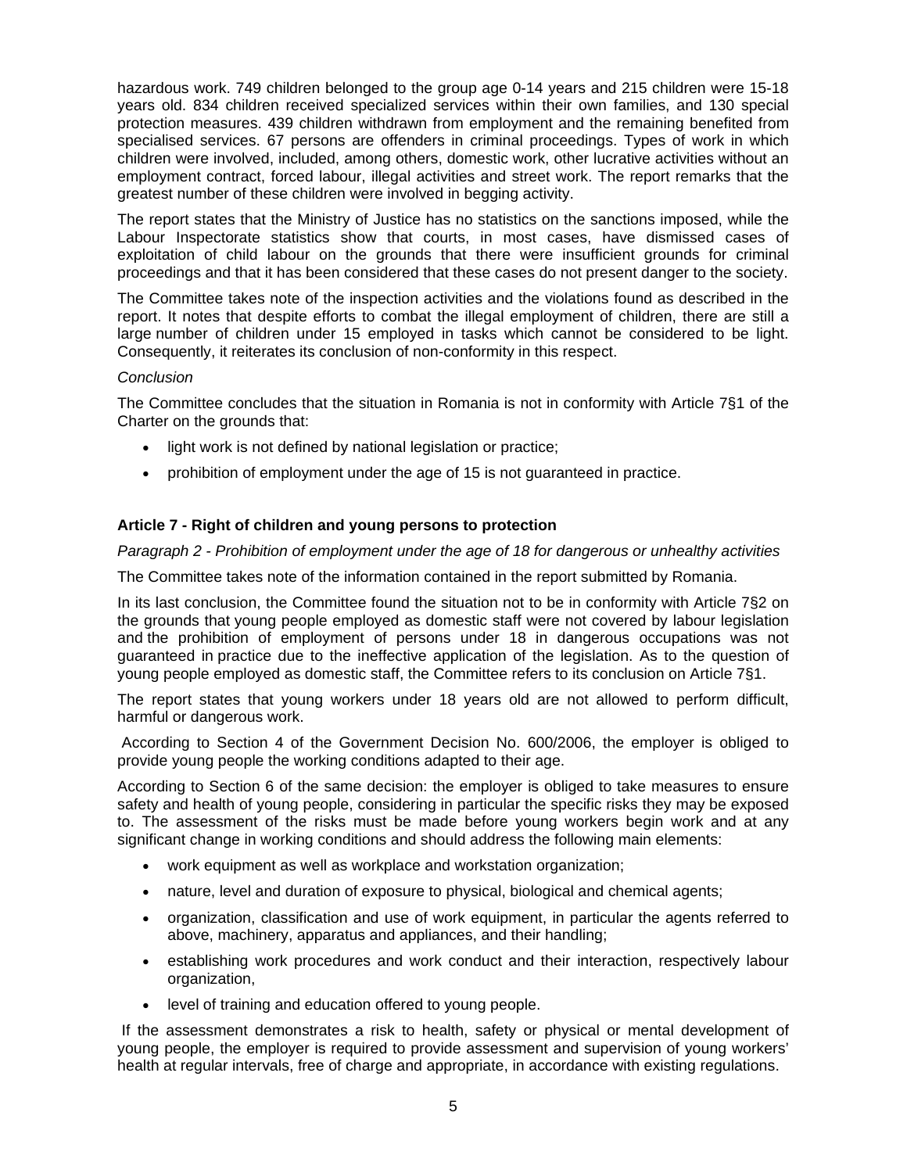hazardous work. 749 children belonged to the group age 0-14 years and 215 children were 15-18 years old. 834 children received specialized services within their own families, and 130 special protection measures. 439 children withdrawn from employment and the remaining benefited from specialised services. 67 persons are offenders in criminal proceedings. Types of work in which children were involved, included, among others, domestic work, other lucrative activities without an employment contract, forced labour, illegal activities and street work. The report remarks that the greatest number of these children were involved in begging activity.

The report states that the Ministry of Justice has no statistics on the sanctions imposed, while the Labour Inspectorate statistics show that courts, in most cases, have dismissed cases of exploitation of child labour on the grounds that there were insufficient grounds for criminal proceedings and that it has been considered that these cases do not present danger to the society.

The Committee takes note of the inspection activities and the violations found as described in the report. It notes that despite efforts to combat the illegal employment of children, there are still a large number of children under 15 employed in tasks which cannot be considered to be light. Consequently, it reiterates its conclusion of non-conformity in this respect.

# *Conclusion*

The Committee concludes that the situation in Romania is not in conformity with Article 7§1 of the Charter on the grounds that:

- light work is not defined by national legislation or practice;
- prohibition of employment under the age of 15 is not guaranteed in practice.

# **Article 7 - Right of children and young persons to protection**

*Paragraph 2 - Prohibition of employment under the age of 18 for dangerous or unhealthy activities* 

The Committee takes note of the information contained in the report submitted by Romania.

In its last conclusion, the Committee found the situation not to be in conformity with Article 7§2 on the grounds that young people employed as domestic staff were not covered by labour legislation and the prohibition of employment of persons under 18 in dangerous occupations was not guaranteed in practice due to the ineffective application of the legislation. As to the question of young people employed as domestic staff, the Committee refers to its conclusion on Article 7§1.

The report states that young workers under 18 years old are not allowed to perform difficult, harmful or dangerous work.

 According to Section 4 of the Government Decision No. 600/2006, the employer is obliged to provide young people the working conditions adapted to their age.

According to Section 6 of the same decision: the employer is obliged to take measures to ensure safety and health of young people, considering in particular the specific risks they may be exposed to. The assessment of the risks must be made before young workers begin work and at any significant change in working conditions and should address the following main elements:

- work equipment as well as workplace and workstation organization;
- nature, level and duration of exposure to physical, biological and chemical agents;
- organization, classification and use of work equipment, in particular the agents referred to above, machinery, apparatus and appliances, and their handling;
- establishing work procedures and work conduct and their interaction, respectively labour organization,
- level of training and education offered to young people.

 If the assessment demonstrates a risk to health, safety or physical or mental development of young people, the employer is required to provide assessment and supervision of young workers' health at regular intervals, free of charge and appropriate, in accordance with existing regulations.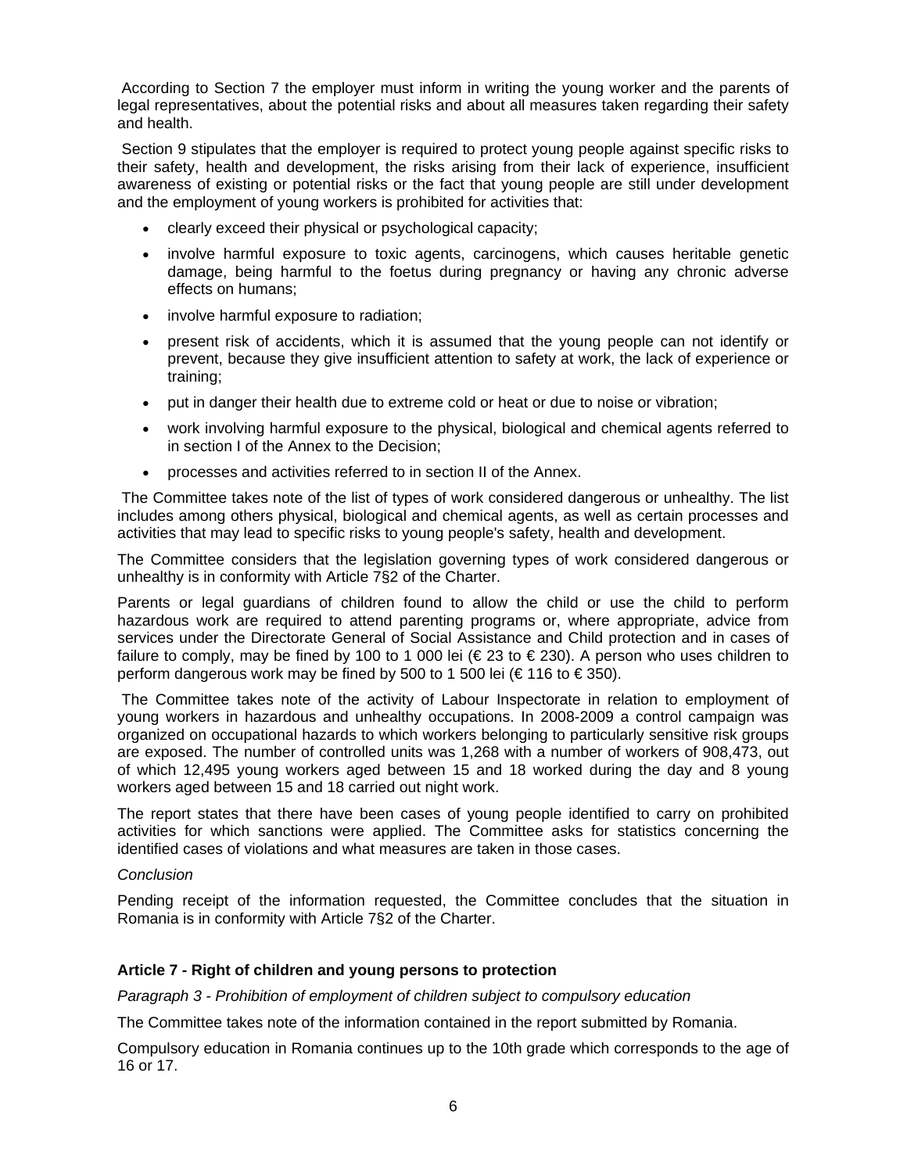According to Section 7 the employer must inform in writing the young worker and the parents of legal representatives, about the potential risks and about all measures taken regarding their safety and health.

 Section 9 stipulates that the employer is required to protect young people against specific risks to their safety, health and development, the risks arising from their lack of experience, insufficient awareness of existing or potential risks or the fact that young people are still under development and the employment of young workers is prohibited for activities that:

- clearly exceed their physical or psychological capacity;
- involve harmful exposure to toxic agents, carcinogens, which causes heritable genetic damage, being harmful to the foetus during pregnancy or having any chronic adverse effects on humans;
- involve harmful exposure to radiation;
- present risk of accidents, which it is assumed that the young people can not identify or prevent, because they give insufficient attention to safety at work, the lack of experience or training;
- put in danger their health due to extreme cold or heat or due to noise or vibration;
- work involving harmful exposure to the physical, biological and chemical agents referred to in section I of the Annex to the Decision;
- processes and activities referred to in section II of the Annex.

 The Committee takes note of the list of types of work considered dangerous or unhealthy. The list includes among others physical, biological and chemical agents, as well as certain processes and activities that may lead to specific risks to young people's safety, health and development.

The Committee considers that the legislation governing types of work considered dangerous or unhealthy is in conformity with Article 7§2 of the Charter.

Parents or legal guardians of children found to allow the child or use the child to perform hazardous work are required to attend parenting programs or, where appropriate, advice from services under the Directorate General of Social Assistance and Child protection and in cases of failure to comply, may be fined by 100 to 1 000 lei ( $\in$  23 to  $\in$  230). A person who uses children to perform dangerous work may be fined by 500 to 1 500 lei ( $\in$  116 to  $\in$  350).

 The Committee takes note of the activity of Labour Inspectorate in relation to employment of young workers in hazardous and unhealthy occupations. In 2008-2009 a control campaign was organized on occupational hazards to which workers belonging to particularly sensitive risk groups are exposed. The number of controlled units was 1,268 with a number of workers of 908,473, out of which 12,495 young workers aged between 15 and 18 worked during the day and 8 young workers aged between 15 and 18 carried out night work.

The report states that there have been cases of young people identified to carry on prohibited activities for which sanctions were applied. The Committee asks for statistics concerning the identified cases of violations and what measures are taken in those cases.

## *Conclusion*

Pending receipt of the information requested, the Committee concludes that the situation in Romania is in conformity with Article 7§2 of the Charter.

#### **Article 7 - Right of children and young persons to protection**

*Paragraph 3 - Prohibition of employment of children subject to compulsory education* 

The Committee takes note of the information contained in the report submitted by Romania.

Compulsory education in Romania continues up to the 10th grade which corresponds to the age of 16 or 17.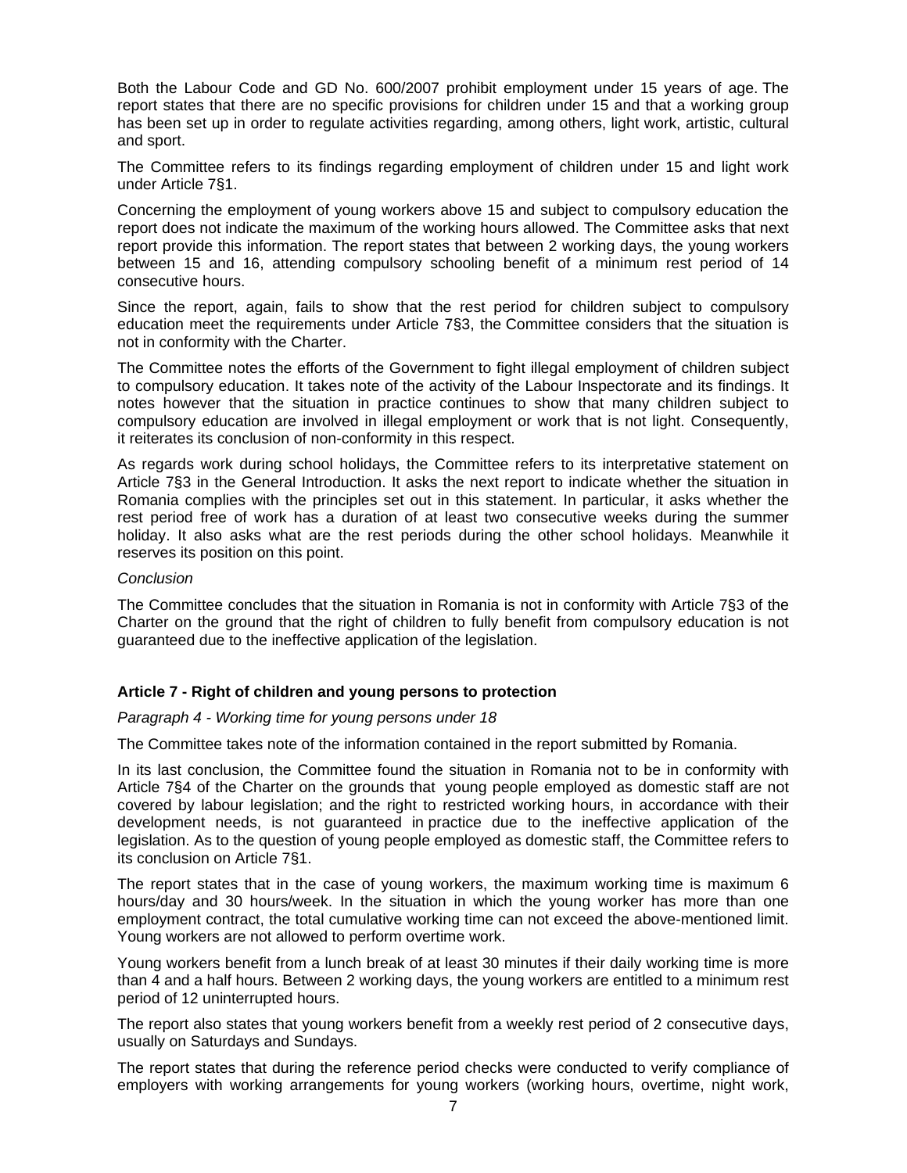Both the Labour Code and GD No. 600/2007 prohibit employment under 15 years of age. The report states that there are no specific provisions for children under 15 and that a working group has been set up in order to regulate activities regarding, among others, light work, artistic, cultural and sport.

The Committee refers to its findings regarding employment of children under 15 and light work under Article 7§1.

Concerning the employment of young workers above 15 and subject to compulsory education the report does not indicate the maximum of the working hours allowed. The Committee asks that next report provide this information. The report states that between 2 working days, the young workers between 15 and 16, attending compulsory schooling benefit of a minimum rest period of 14 consecutive hours.

Since the report, again, fails to show that the rest period for children subject to compulsory education meet the requirements under Article 7§3, the Committee considers that the situation is not in conformity with the Charter.

The Committee notes the efforts of the Government to fight illegal employment of children subject to compulsory education. It takes note of the activity of the Labour Inspectorate and its findings. It notes however that the situation in practice continues to show that many children subject to compulsory education are involved in illegal employment or work that is not light. Consequently, it reiterates its conclusion of non-conformity in this respect.

As regards work during school holidays, the Committee refers to its interpretative statement on Article 7§3 in the General Introduction. It asks the next report to indicate whether the situation in Romania complies with the principles set out in this statement. In particular, it asks whether the rest period free of work has a duration of at least two consecutive weeks during the summer holiday. It also asks what are the rest periods during the other school holidays. Meanwhile it reserves its position on this point.

## *Conclusion*

The Committee concludes that the situation in Romania is not in conformity with Article 7§3 of the Charter on the ground that the right of children to fully benefit from compulsory education is not guaranteed due to the ineffective application of the legislation.

# **Article 7 - Right of children and young persons to protection**

#### *Paragraph 4 - Working time for young persons under 18*

The Committee takes note of the information contained in the report submitted by Romania.

In its last conclusion, the Committee found the situation in Romania not to be in conformity with Article 7§4 of the Charter on the grounds that young people employed as domestic staff are not covered by labour legislation; and the right to restricted working hours, in accordance with their development needs, is not guaranteed in practice due to the ineffective application of the legislation. As to the question of young people employed as domestic staff, the Committee refers to its conclusion on Article 7§1.

The report states that in the case of young workers, the maximum working time is maximum 6 hours/day and 30 hours/week. In the situation in which the young worker has more than one employment contract, the total cumulative working time can not exceed the above-mentioned limit. Young workers are not allowed to perform overtime work.

Young workers benefit from a lunch break of at least 30 minutes if their daily working time is more than 4 and a half hours. Between 2 working days, the young workers are entitled to a minimum rest period of 12 uninterrupted hours.

The report also states that young workers benefit from a weekly rest period of 2 consecutive days, usually on Saturdays and Sundays.

The report states that during the reference period checks were conducted to verify compliance of employers with working arrangements for young workers (working hours, overtime, night work,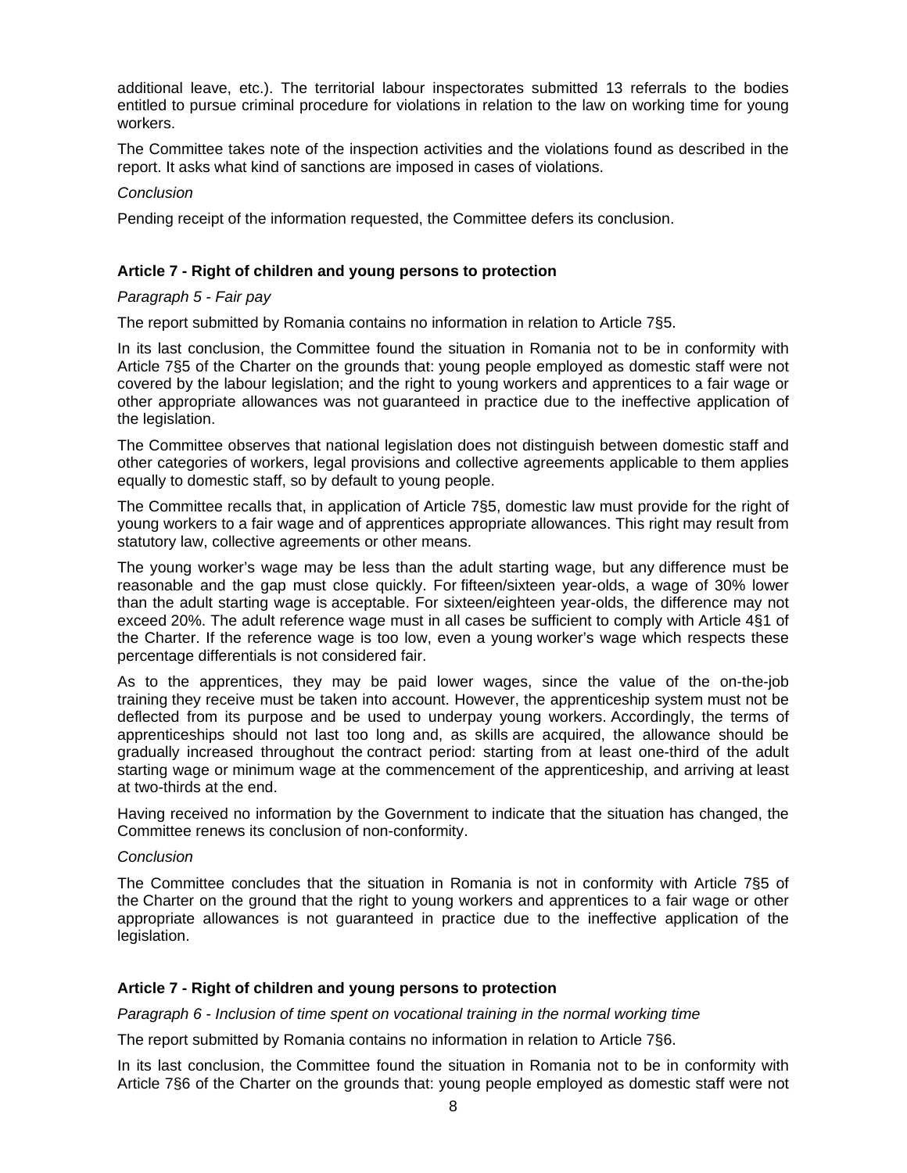additional leave, etc.). The territorial labour inspectorates submitted 13 referrals to the bodies entitled to pursue criminal procedure for violations in relation to the law on working time for young workers.

The Committee takes note of the inspection activities and the violations found as described in the report. It asks what kind of sanctions are imposed in cases of violations.

#### *Conclusion*

Pending receipt of the information requested, the Committee defers its conclusion.

## **Article 7 - Right of children and young persons to protection**

# *Paragraph 5 - Fair pay*

The report submitted by Romania contains no information in relation to Article 7§5.

In its last conclusion, the Committee found the situation in Romania not to be in conformity with Article 7§5 of the Charter on the grounds that: young people employed as domestic staff were not covered by the labour legislation; and the right to young workers and apprentices to a fair wage or other appropriate allowances was not guaranteed in practice due to the ineffective application of the legislation.

The Committee observes that national legislation does not distinguish between domestic staff and other categories of workers, legal provisions and collective agreements applicable to them applies equally to domestic staff, so by default to young people.

The Committee recalls that, in application of Article 7§5, domestic law must provide for the right of young workers to a fair wage and of apprentices appropriate allowances. This right may result from statutory law, collective agreements or other means.

The young worker's wage may be less than the adult starting wage, but any difference must be reasonable and the gap must close quickly. For fifteen/sixteen year-olds, a wage of 30% lower than the adult starting wage is acceptable. For sixteen/eighteen year-olds, the difference may not exceed 20%. The adult reference wage must in all cases be sufficient to comply with Article 4§1 of the Charter. If the reference wage is too low, even a young worker's wage which respects these percentage differentials is not considered fair.

As to the apprentices, they may be paid lower wages, since the value of the on-the-job training they receive must be taken into account. However, the apprenticeship system must not be deflected from its purpose and be used to underpay young workers. Accordingly, the terms of apprenticeships should not last too long and, as skills are acquired, the allowance should be gradually increased throughout the contract period: starting from at least one-third of the adult starting wage or minimum wage at the commencement of the apprenticeship, and arriving at least at two-thirds at the end.

Having received no information by the Government to indicate that the situation has changed, the Committee renews its conclusion of non-conformity.

## *Conclusion*

The Committee concludes that the situation in Romania is not in conformity with Article 7§5 of the Charter on the ground that the right to young workers and apprentices to a fair wage or other appropriate allowances is not guaranteed in practice due to the ineffective application of the legislation.

#### **Article 7 - Right of children and young persons to protection**

*Paragraph 6 - Inclusion of time spent on vocational training in the normal working time* 

The report submitted by Romania contains no information in relation to Article 7§6.

In its last conclusion, the Committee found the situation in Romania not to be in conformity with Article 7§6 of the Charter on the grounds that: young people employed as domestic staff were not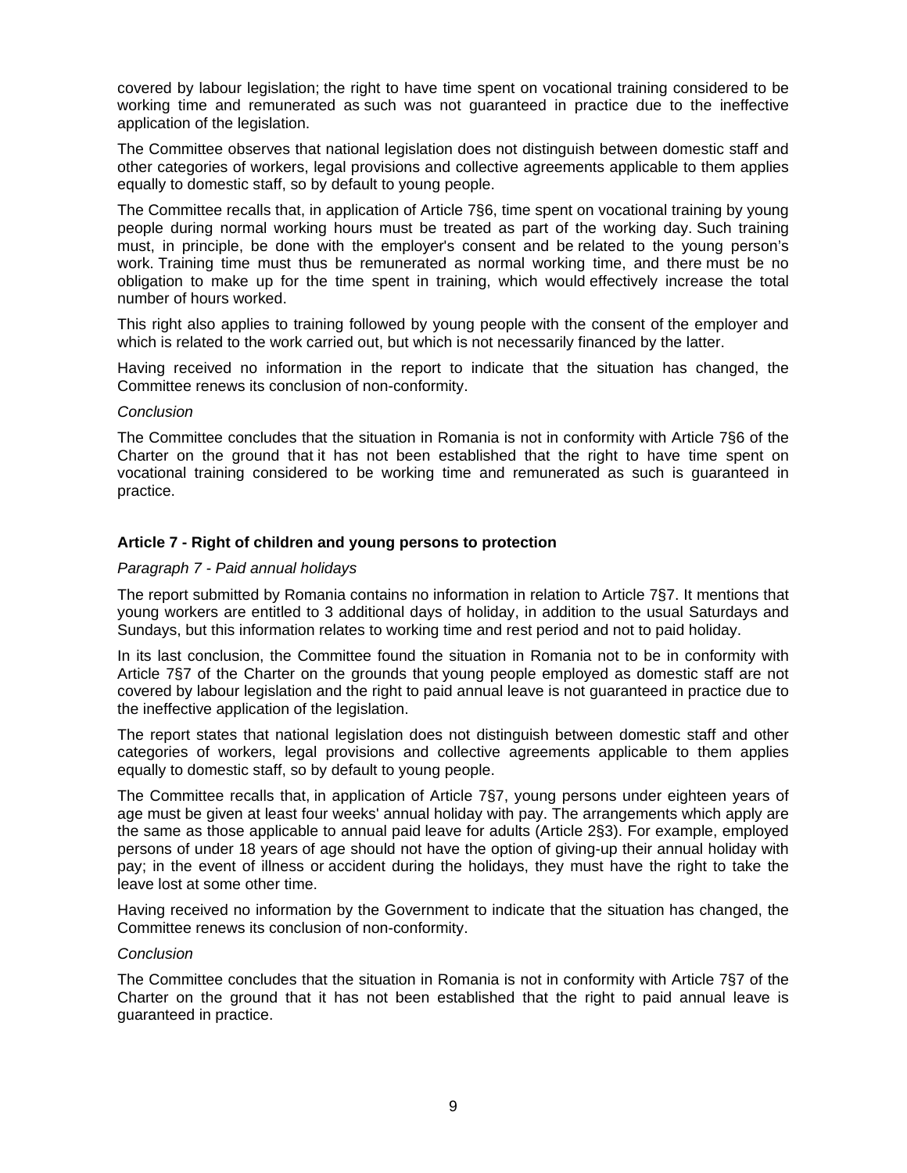covered by labour legislation; the right to have time spent on vocational training considered to be working time and remunerated as such was not guaranteed in practice due to the ineffective application of the legislation.

The Committee observes that national legislation does not distinguish between domestic staff and other categories of workers, legal provisions and collective agreements applicable to them applies equally to domestic staff, so by default to young people.

The Committee recalls that, in application of Article 7§6, time spent on vocational training by young people during normal working hours must be treated as part of the working day. Such training must, in principle, be done with the employer's consent and be related to the young person's work. Training time must thus be remunerated as normal working time, and there must be no obligation to make up for the time spent in training, which would effectively increase the total number of hours worked.

This right also applies to training followed by young people with the consent of the employer and which is related to the work carried out, but which is not necessarily financed by the latter.

Having received no information in the report to indicate that the situation has changed, the Committee renews its conclusion of non-conformity.

#### *Conclusion*

The Committee concludes that the situation in Romania is not in conformity with Article 7§6 of the Charter on the ground that it has not been established that the right to have time spent on vocational training considered to be working time and remunerated as such is guaranteed in practice.

# **Article 7 - Right of children and young persons to protection**

#### *Paragraph 7 - Paid annual holidays*

The report submitted by Romania contains no information in relation to Article 7§7. It mentions that young workers are entitled to 3 additional days of holiday, in addition to the usual Saturdays and Sundays, but this information relates to working time and rest period and not to paid holiday.

In its last conclusion, the Committee found the situation in Romania not to be in conformity with Article 7§7 of the Charter on the grounds that young people employed as domestic staff are not covered by labour legislation and the right to paid annual leave is not guaranteed in practice due to the ineffective application of the legislation.

The report states that national legislation does not distinguish between domestic staff and other categories of workers, legal provisions and collective agreements applicable to them applies equally to domestic staff, so by default to young people.

The Committee recalls that, in application of Article 7§7, young persons under eighteen years of age must be given at least four weeks' annual holiday with pay. The arrangements which apply are the same as those applicable to annual paid leave for adults (Article 2§3). For example, employed persons of under 18 years of age should not have the option of giving-up their annual holiday with pay; in the event of illness or accident during the holidays, they must have the right to take the leave lost at some other time.

Having received no information by the Government to indicate that the situation has changed, the Committee renews its conclusion of non-conformity.

#### *Conclusion*

The Committee concludes that the situation in Romania is not in conformity with Article 7§7 of the Charter on the ground that it has not been established that the right to paid annual leave is guaranteed in practice.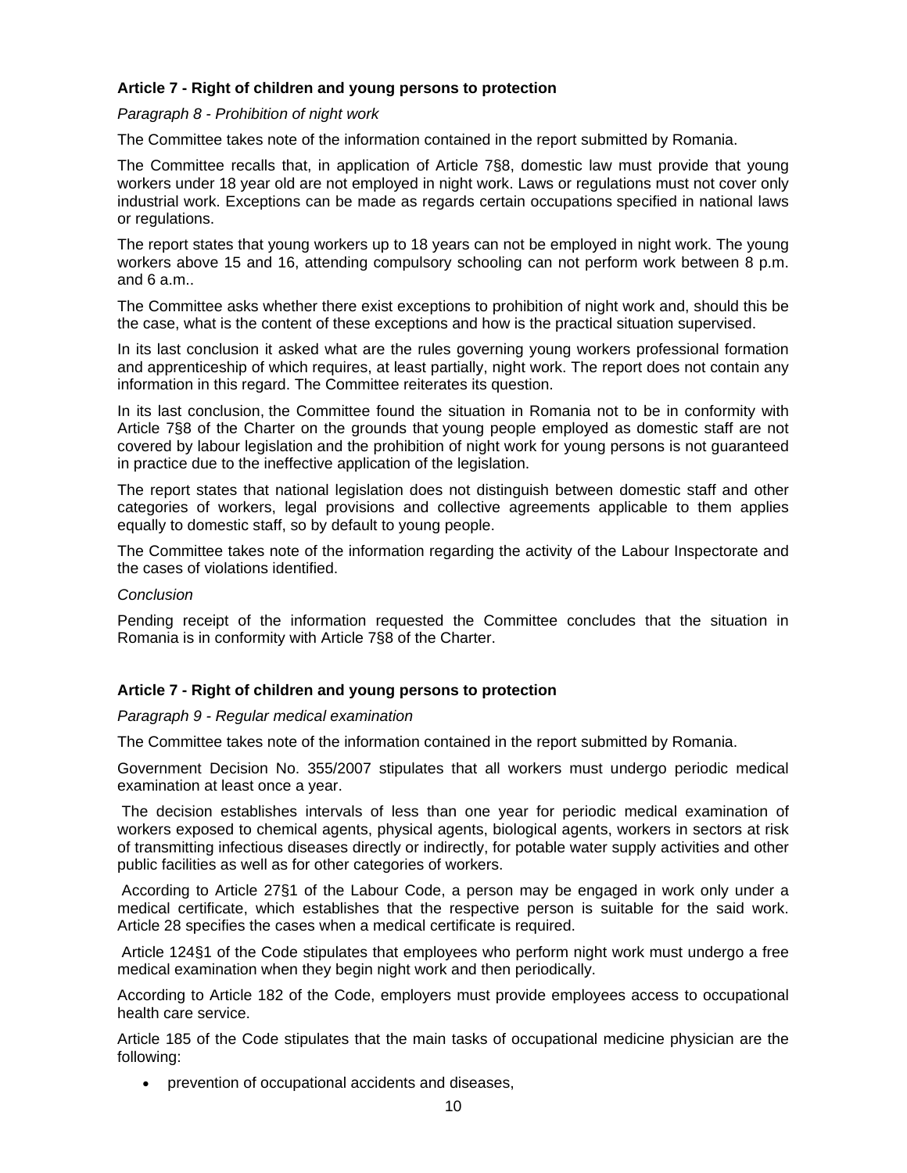# **Article 7 - Right of children and young persons to protection**

*Paragraph 8 - Prohibition of night work* 

The Committee takes note of the information contained in the report submitted by Romania.

The Committee recalls that, in application of Article 7§8, domestic law must provide that young workers under 18 year old are not employed in night work. Laws or regulations must not cover only industrial work. Exceptions can be made as regards certain occupations specified in national laws or regulations.

The report states that young workers up to 18 years can not be employed in night work. The young workers above 15 and 16, attending compulsory schooling can not perform work between 8 p.m. and 6 a.m..

The Committee asks whether there exist exceptions to prohibition of night work and, should this be the case, what is the content of these exceptions and how is the practical situation supervised.

In its last conclusion it asked what are the rules governing young workers professional formation and apprenticeship of which requires, at least partially, night work. The report does not contain any information in this regard. The Committee reiterates its question.

In its last conclusion, the Committee found the situation in Romania not to be in conformity with Article 7§8 of the Charter on the grounds that young people employed as domestic staff are not covered by labour legislation and the prohibition of night work for young persons is not guaranteed in practice due to the ineffective application of the legislation.

The report states that national legislation does not distinguish between domestic staff and other categories of workers, legal provisions and collective agreements applicable to them applies equally to domestic staff, so by default to young people.

The Committee takes note of the information regarding the activity of the Labour Inspectorate and the cases of violations identified.

## *Conclusion*

Pending receipt of the information requested the Committee concludes that the situation in Romania is in conformity with Article 7§8 of the Charter.

# **Article 7 - Right of children and young persons to protection**

#### *Paragraph 9 - Regular medical examination*

The Committee takes note of the information contained in the report submitted by Romania.

Government Decision No. 355/2007 stipulates that all workers must undergo periodic medical examination at least once a year.

 The decision establishes intervals of less than one year for periodic medical examination of workers exposed to chemical agents, physical agents, biological agents, workers in sectors at risk of transmitting infectious diseases directly or indirectly, for potable water supply activities and other public facilities as well as for other categories of workers.

 According to Article 27§1 of the Labour Code, a person may be engaged in work only under a medical certificate, which establishes that the respective person is suitable for the said work. Article 28 specifies the cases when a medical certificate is required.

 Article 124§1 of the Code stipulates that employees who perform night work must undergo a free medical examination when they begin night work and then periodically.

According to Article 182 of the Code, employers must provide employees access to occupational health care service.

Article 185 of the Code stipulates that the main tasks of occupational medicine physician are the following:

prevention of occupational accidents and diseases,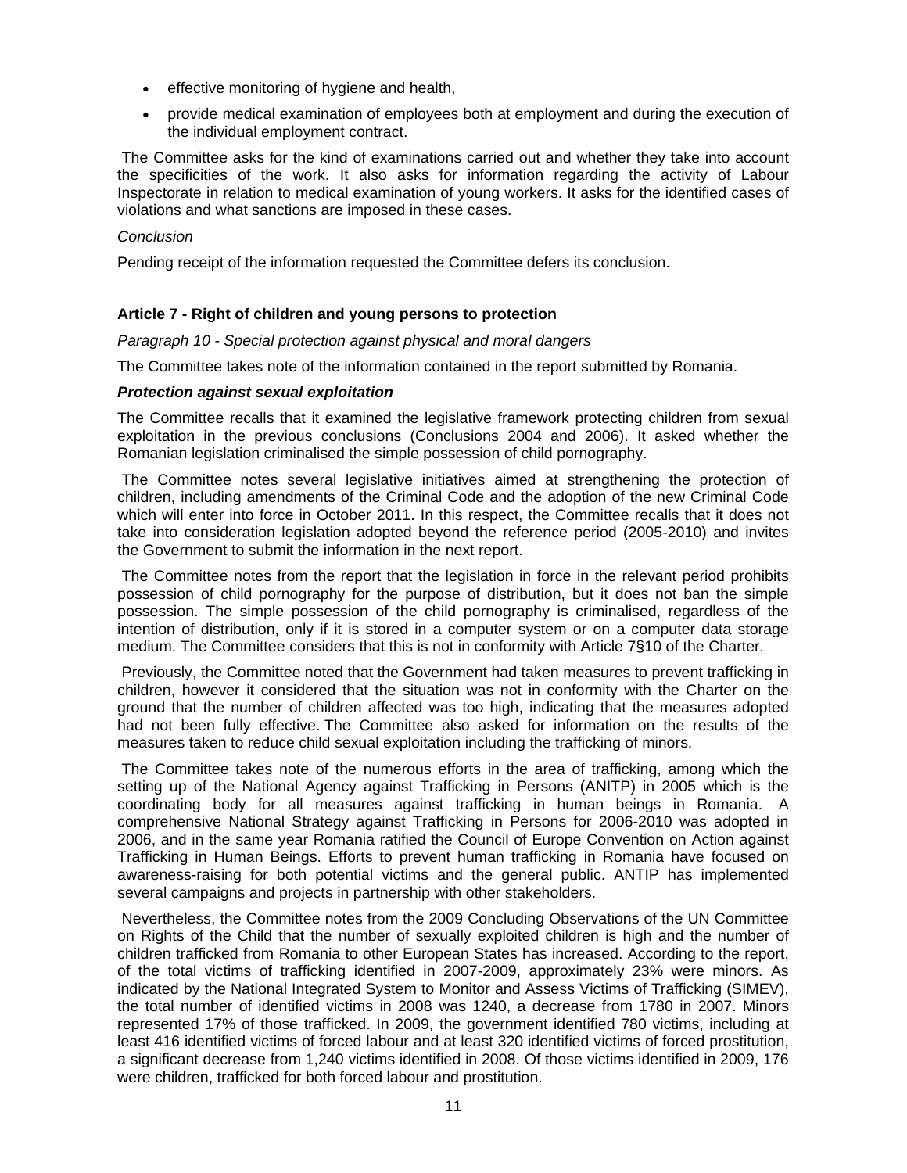- **effective monitoring of hygiene and health,**
- provide medical examination of employees both at employment and during the execution of the individual employment contract.

 The Committee asks for the kind of examinations carried out and whether they take into account the specificities of the work. It also asks for information regarding the activity of Labour Inspectorate in relation to medical examination of young workers. It asks for the identified cases of violations and what sanctions are imposed in these cases.

# *Conclusion*

Pending receipt of the information requested the Committee defers its conclusion.

# **Article 7 - Right of children and young persons to protection**

*Paragraph 10 - Special protection against physical and moral dangers* 

The Committee takes note of the information contained in the report submitted by Romania.

# *Protection against sexual exploitation*

The Committee recalls that it examined the legislative framework protecting children from sexual exploitation in the previous conclusions (Conclusions 2004 and 2006). It asked whether the Romanian legislation criminalised the simple possession of child pornography.

 The Committee notes several legislative initiatives aimed at strengthening the protection of children, including amendments of the Criminal Code and the adoption of the new Criminal Code which will enter into force in October 2011. In this respect, the Committee recalls that it does not take into consideration legislation adopted beyond the reference period (2005-2010) and invites the Government to submit the information in the next report.

 The Committee notes from the report that the legislation in force in the relevant period prohibits possession of child pornography for the purpose of distribution, but it does not ban the simple possession. The simple possession of the child pornography is criminalised, regardless of the intention of distribution, only if it is stored in a computer system or on a computer data storage medium. The Committee considers that this is not in conformity with Article 7§10 of the Charter.

 Previously, the Committee noted that the Government had taken measures to prevent trafficking in children, however it considered that the situation was not in conformity with the Charter on the ground that the number of children affected was too high, indicating that the measures adopted had not been fully effective. The Committee also asked for information on the results of the measures taken to reduce child sexual exploitation including the trafficking of minors.

 The Committee takes note of the numerous efforts in the area of trafficking, among which the setting up of the National Agency against Trafficking in Persons (ANITP) in 2005 which is the coordinating body for all measures against trafficking in human beings in Romania. A comprehensive National Strategy against Trafficking in Persons for 2006-2010 was adopted in 2006, and in the same year Romania ratified the Council of Europe Convention on Action against Trafficking in Human Beings. Efforts to prevent human trafficking in Romania have focused on awareness-raising for both potential victims and the general public. ANTIP has implemented several campaigns and projects in partnership with other stakeholders.

 Nevertheless, the Committee notes from the 2009 Concluding Observations of the UN Committee on Rights of the Child that the number of sexually exploited children is high and the number of children trafficked from Romania to other European States has increased. According to the report, of the total victims of trafficking identified in 2007-2009, approximately 23% were minors. As indicated by the National Integrated System to Monitor and Assess Victims of Trafficking (SIMEV), the total number of identified victims in 2008 was 1240, a decrease from 1780 in 2007. Minors represented 17% of those trafficked. In 2009, the government identified 780 victims, including at least 416 identified victims of forced labour and at least 320 identified victims of forced prostitution, a significant decrease from 1,240 victims identified in 2008. Of those victims identified in 2009, 176 were children, trafficked for both forced labour and prostitution.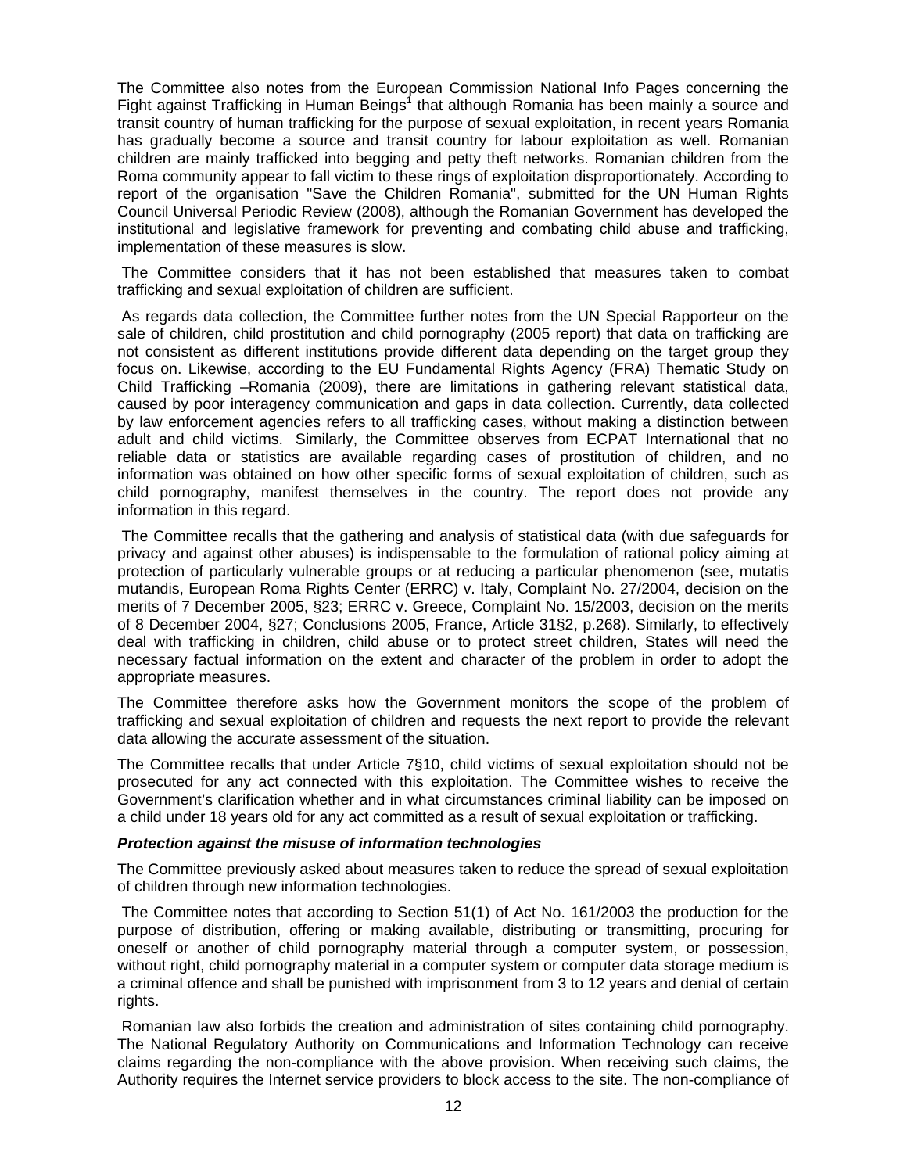The Committee also notes from the European Commission National Info Pages concerning the Fight against Trafficking in Human Beings<sup>1</sup> that although Romania has been mainly a source and transit country of human trafficking for the purpose of sexual exploitation, in recent years Romania has gradually become a source and transit country for labour exploitation as well. Romanian children are mainly trafficked into begging and petty theft networks. Romanian children from the Roma community appear to fall victim to these rings of exploitation disproportionately. According to report of the organisation "Save the Children Romania", submitted for the UN Human Rights Council Universal Periodic Review (2008), although the Romanian Government has developed the institutional and legislative framework for preventing and combating child abuse and trafficking, implementation of these measures is slow.

 The Committee considers that it has not been established that measures taken to combat trafficking and sexual exploitation of children are sufficient.

 As regards data collection, the Committee further notes from the UN Special Rapporteur on the sale of children, child prostitution and child pornography (2005 report) that data on trafficking are not consistent as different institutions provide different data depending on the target group they focus on. Likewise, according to the EU Fundamental Rights Agency (FRA) Thematic Study on Child Trafficking –Romania (2009), there are limitations in gathering relevant statistical data, caused by poor interagency communication and gaps in data collection. Currently, data collected by law enforcement agencies refers to all trafficking cases, without making a distinction between adult and child victims. Similarly, the Committee observes from ECPAT International that no reliable data or statistics are available regarding cases of prostitution of children, and no information was obtained on how other specific forms of sexual exploitation of children, such as child pornography, manifest themselves in the country. The report does not provide any information in this regard.

 The Committee recalls that the gathering and analysis of statistical data (with due safeguards for privacy and against other abuses) is indispensable to the formulation of rational policy aiming at protection of particularly vulnerable groups or at reducing a particular phenomenon (see, mutatis mutandis, European Roma Rights Center (ERRC) v. Italy, Complaint No. 27/2004, decision on the merits of 7 December 2005, §23; ERRC v. Greece, Complaint No. 15/2003, decision on the merits of 8 December 2004, §27; Conclusions 2005, France, Article 31§2, p.268). Similarly, to effectively deal with trafficking in children, child abuse or to protect street children, States will need the necessary factual information on the extent and character of the problem in order to adopt the appropriate measures.

The Committee therefore asks how the Government monitors the scope of the problem of trafficking and sexual exploitation of children and requests the next report to provide the relevant data allowing the accurate assessment of the situation.

The Committee recalls that under Article 7§10, child victims of sexual exploitation should not be prosecuted for any act connected with this exploitation. The Committee wishes to receive the Government's clarification whether and in what circumstances criminal liability can be imposed on a child under 18 years old for any act committed as a result of sexual exploitation or trafficking.

#### *Protection against the misuse of information technologies*

The Committee previously asked about measures taken to reduce the spread of sexual exploitation of children through new information technologies.

 The Committee notes that according to Section 51(1) of Act No. 161/2003 the production for the purpose of distribution, offering or making available, distributing or transmitting, procuring for oneself or another of child pornography material through a computer system, or possession, without right, child pornography material in a computer system or computer data storage medium is a criminal offence and shall be punished with imprisonment from 3 to 12 years and denial of certain rights.

 Romanian law also forbids the creation and administration of sites containing child pornography. The National Regulatory Authority on Communications and Information Technology can receive claims regarding the non-compliance with the above provision. When receiving such claims, the Authority requires the Internet service providers to block access to the site. The non-compliance of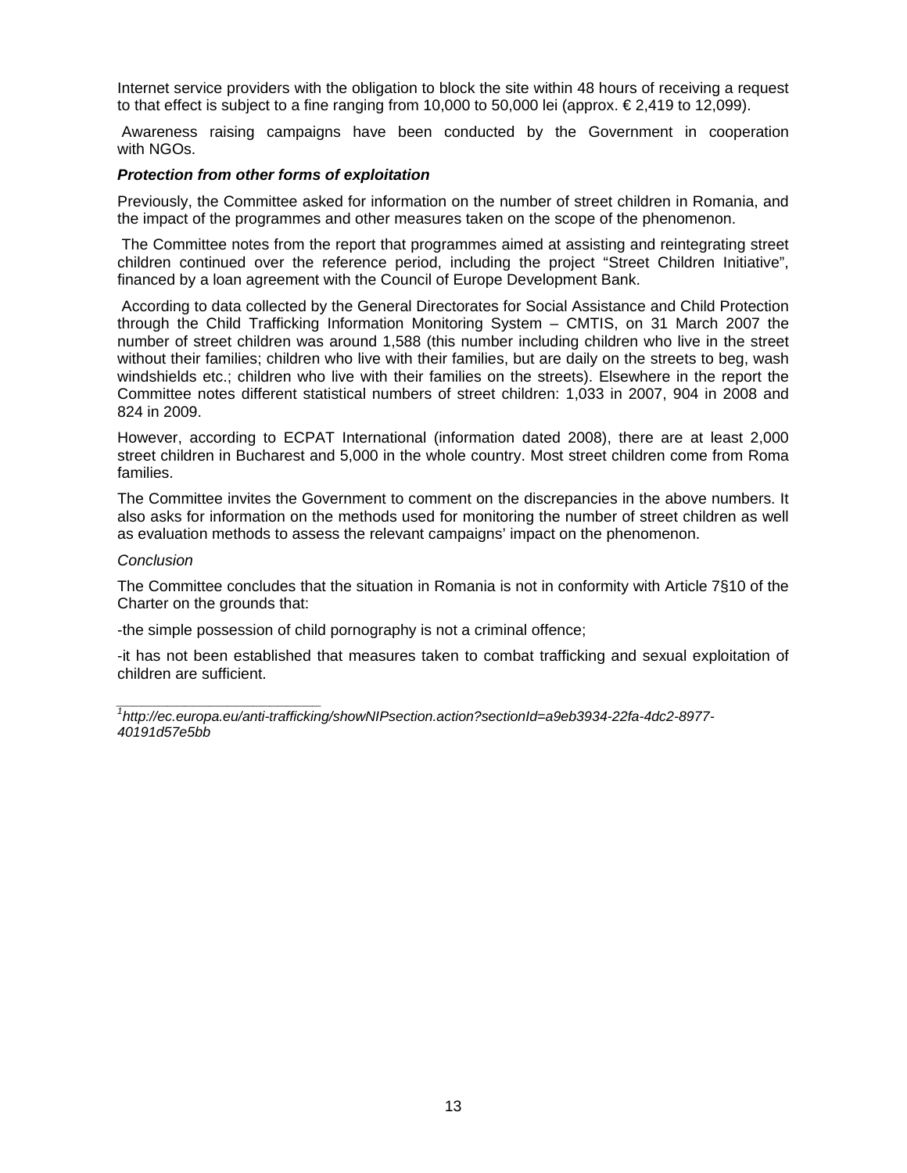Internet service providers with the obligation to block the site within 48 hours of receiving a request to that effect is subject to a fine ranging from 10,000 to 50,000 lei (approx.  $\epsilon$  2,419 to 12,099).

Awareness raising campaigns have been conducted by the Government in cooperation with NGOs.

#### *Protection from other forms of exploitation*

Previously, the Committee asked for information on the number of street children in Romania, and the impact of the programmes and other measures taken on the scope of the phenomenon.

 The Committee notes from the report that programmes aimed at assisting and reintegrating street children continued over the reference period, including the project "Street Children Initiative", financed by a loan agreement with the Council of Europe Development Bank.

 According to data collected by the General Directorates for Social Assistance and Child Protection through the Child Trafficking Information Monitoring System – CMTIS, on 31 March 2007 the number of street children was around 1,588 (this number including children who live in the street without their families; children who live with their families, but are daily on the streets to beg, wash windshields etc.; children who live with their families on the streets). Elsewhere in the report the Committee notes different statistical numbers of street children: 1,033 in 2007, 904 in 2008 and 824 in 2009.

However, according to ECPAT International (information dated 2008), there are at least 2,000 street children in Bucharest and 5,000 in the whole country. Most street children come from Roma families.

The Committee invites the Government to comment on the discrepancies in the above numbers. It also asks for information on the methods used for monitoring the number of street children as well as evaluation methods to assess the relevant campaigns' impact on the phenomenon.

#### *Conclusion*

The Committee concludes that the situation in Romania is not in conformity with Article 7§10 of the Charter on the grounds that:

-the simple possession of child pornography is not a criminal offence;

-it has not been established that measures taken to combat trafficking and sexual exploitation of children are sufficient.

*\_\_\_\_\_\_\_\_\_\_\_\_\_\_\_\_\_\_\_\_\_\_\_\_ 1 http://ec.europa.eu/anti-trafficking/showNIPsection.action?sectionId=a9eb3934-22fa-4dc2-8977- 40191d57e5bb*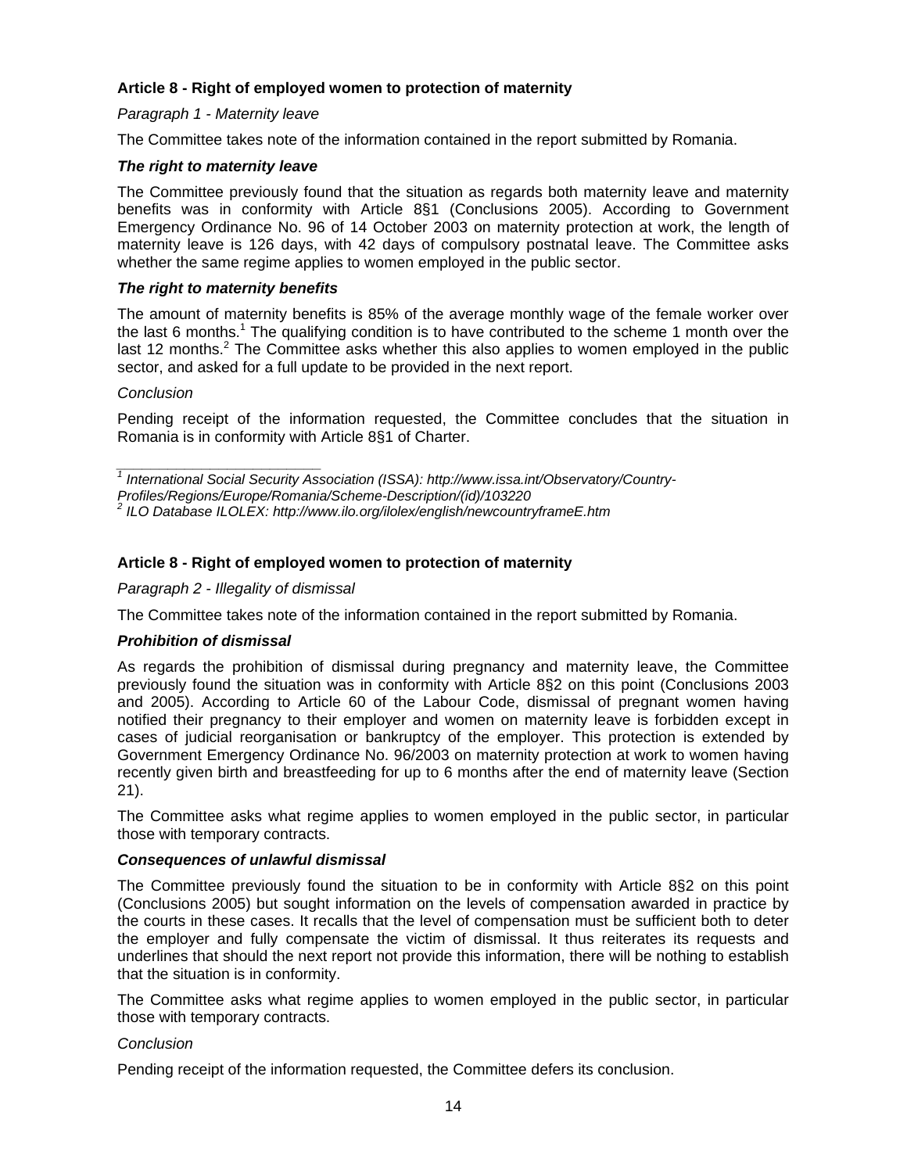# **Article 8 - Right of employed women to protection of maternity**

# *Paragraph 1 - Maternity leave*

The Committee takes note of the information contained in the report submitted by Romania.

# *The right to maternity leave*

The Committee previously found that the situation as regards both maternity leave and maternity benefits was in conformity with Article 8§1 (Conclusions 2005). According to Government Emergency Ordinance No. 96 of 14 October 2003 on maternity protection at work, the length of maternity leave is 126 days, with 42 days of compulsory postnatal leave. The Committee asks whether the same regime applies to women employed in the public sector.

#### *The right to maternity benefits*

The amount of maternity benefits is 85% of the average monthly wage of the female worker over the last 6 months.<sup>1</sup> The qualifying condition is to have contributed to the scheme 1 month over the last 12 months.<sup>2</sup> The Committee asks whether this also applies to women employed in the public sector, and asked for a full update to be provided in the next report.

#### *Conclusion*

Pending receipt of the information requested, the Committee concludes that the situation in Romania is in conformity with Article 8§1 of Charter.

# **Article 8 - Right of employed women to protection of maternity**

#### *Paragraph 2 - Illegality of dismissal*

The Committee takes note of the information contained in the report submitted by Romania.

#### *Prohibition of dismissal*

As regards the prohibition of dismissal during pregnancy and maternity leave, the Committee previously found the situation was in conformity with Article 8§2 on this point (Conclusions 2003 and 2005). According to Article 60 of the Labour Code, dismissal of pregnant women having notified their pregnancy to their employer and women on maternity leave is forbidden except in cases of judicial reorganisation or bankruptcy of the employer. This protection is extended by Government Emergency Ordinance No. 96/2003 on maternity protection at work to women having recently given birth and breastfeeding for up to 6 months after the end of maternity leave (Section 21).

The Committee asks what regime applies to women employed in the public sector, in particular those with temporary contracts.

#### *Consequences of unlawful dismissal*

The Committee previously found the situation to be in conformity with Article 8§2 on this point (Conclusions 2005) but sought information on the levels of compensation awarded in practice by the courts in these cases. It recalls that the level of compensation must be sufficient both to deter the employer and fully compensate the victim of dismissal. It thus reiterates its requests and underlines that should the next report not provide this information, there will be nothing to establish that the situation is in conformity.

The Committee asks what regime applies to women employed in the public sector, in particular those with temporary contracts.

#### *Conclusion*

Pending receipt of the information requested, the Committee defers its conclusion.

*\_\_\_\_\_\_\_\_\_\_\_\_\_\_\_\_\_\_\_\_\_\_\_\_ 1 International Social Security Association (ISSA): http://www.issa.int/Observatory/Country-*

*Profiles/Regions/Europe/Romania/Scheme-Description/(id)/103220* 

<sup>&</sup>lt;sup>2</sup> ILO Database ILOLEX: http://www.ilo.org/ilolex/english/newcountryframeE.htm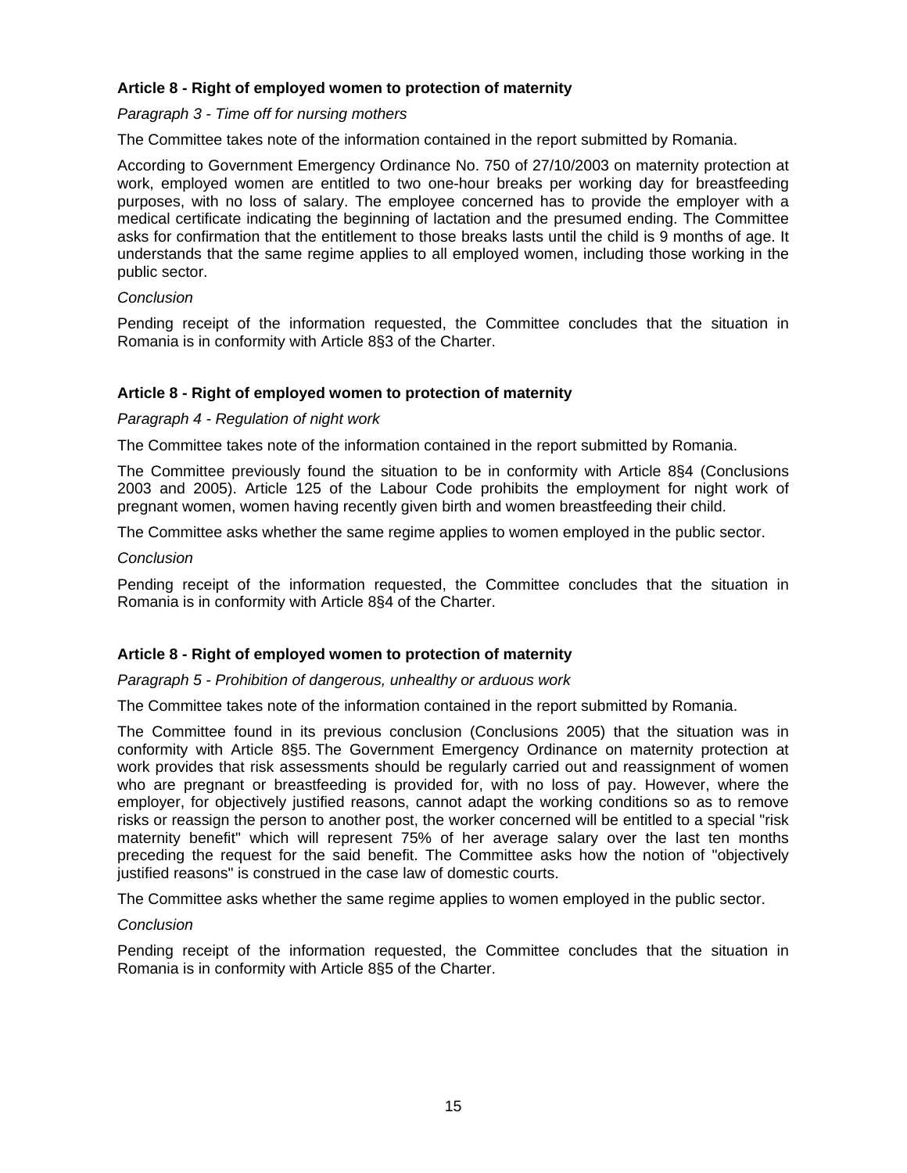# **Article 8 - Right of employed women to protection of maternity**

## *Paragraph 3 - Time off for nursing mothers*

The Committee takes note of the information contained in the report submitted by Romania.

According to Government Emergency Ordinance No. 750 of 27/10/2003 on maternity protection at work, employed women are entitled to two one-hour breaks per working day for breastfeeding purposes, with no loss of salary. The employee concerned has to provide the employer with a medical certificate indicating the beginning of lactation and the presumed ending. The Committee asks for confirmation that the entitlement to those breaks lasts until the child is 9 months of age. It understands that the same regime applies to all employed women, including those working in the public sector.

## *Conclusion*

Pending receipt of the information requested, the Committee concludes that the situation in Romania is in conformity with Article 8§3 of the Charter.

# **Article 8 - Right of employed women to protection of maternity**

# *Paragraph 4 - Regulation of night work*

The Committee takes note of the information contained in the report submitted by Romania.

The Committee previously found the situation to be in conformity with Article 8§4 (Conclusions 2003 and 2005). Article 125 of the Labour Code prohibits the employment for night work of pregnant women, women having recently given birth and women breastfeeding their child.

The Committee asks whether the same regime applies to women employed in the public sector.

#### *Conclusion*

Pending receipt of the information requested, the Committee concludes that the situation in Romania is in conformity with Article 8§4 of the Charter.

# **Article 8 - Right of employed women to protection of maternity**

#### *Paragraph 5 - Prohibition of dangerous, unhealthy or arduous work*

The Committee takes note of the information contained in the report submitted by Romania.

The Committee found in its previous conclusion (Conclusions 2005) that the situation was in conformity with Article 8§5. The Government Emergency Ordinance on maternity protection at work provides that risk assessments should be regularly carried out and reassignment of women who are pregnant or breastfeeding is provided for, with no loss of pay. However, where the employer, for objectively justified reasons, cannot adapt the working conditions so as to remove risks or reassign the person to another post, the worker concerned will be entitled to a special "risk maternity benefit" which will represent 75% of her average salary over the last ten months preceding the request for the said benefit. The Committee asks how the notion of "objectively justified reasons" is construed in the case law of domestic courts.

The Committee asks whether the same regime applies to women employed in the public sector.

#### *Conclusion*

Pending receipt of the information requested, the Committee concludes that the situation in Romania is in conformity with Article 8§5 of the Charter.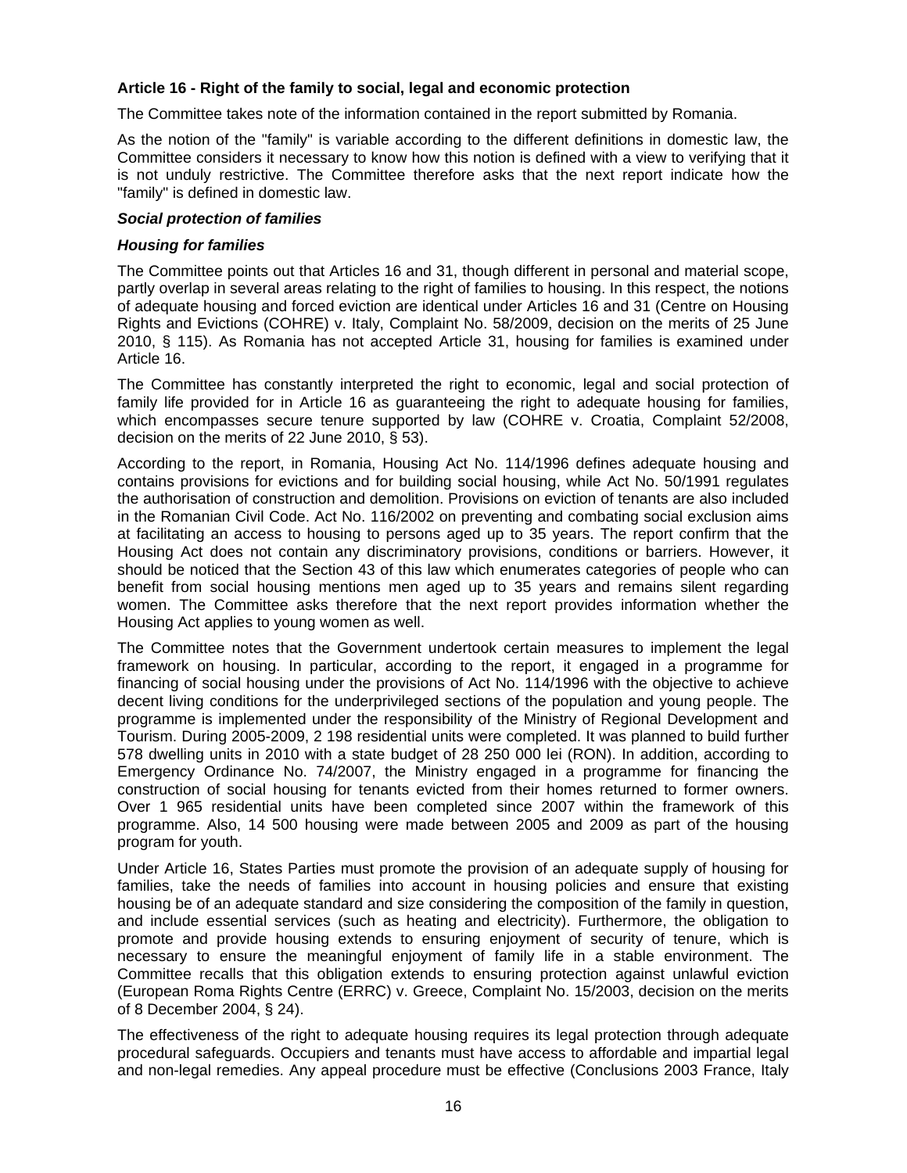# **Article 16 - Right of the family to social, legal and economic protection**

The Committee takes note of the information contained in the report submitted by Romania.

As the notion of the "family" is variable according to the different definitions in domestic law, the Committee considers it necessary to know how this notion is defined with a view to verifying that it is not unduly restrictive. The Committee therefore asks that the next report indicate how the "family" is defined in domestic law.

## *Social protection of families*

## *Housing for families*

The Committee points out that Articles 16 and 31, though different in personal and material scope, partly overlap in several areas relating to the right of families to housing. In this respect, the notions of adequate housing and forced eviction are identical under Articles 16 and 31 (Centre on Housing Rights and Evictions (COHRE) v. Italy, Complaint No. 58/2009, decision on the merits of 25 June 2010, § 115). As Romania has not accepted Article 31, housing for families is examined under Article 16.

The Committee has constantly interpreted the right to economic, legal and social protection of family life provided for in Article 16 as guaranteeing the right to adequate housing for families, which encompasses secure tenure supported by law (COHRE v. Croatia, Complaint 52/2008, decision on the merits of 22 June 2010, § 53).

According to the report, in Romania, Housing Act No. 114/1996 defines adequate housing and contains provisions for evictions and for building social housing, while Act No. 50/1991 regulates the authorisation of construction and demolition. Provisions on eviction of tenants are also included in the Romanian Civil Code. Act No. 116/2002 on preventing and combating social exclusion aims at facilitating an access to housing to persons aged up to 35 years. The report confirm that the Housing Act does not contain any discriminatory provisions, conditions or barriers. However, it should be noticed that the Section 43 of this law which enumerates categories of people who can benefit from social housing mentions men aged up to 35 years and remains silent regarding women. The Committee asks therefore that the next report provides information whether the Housing Act applies to young women as well.

The Committee notes that the Government undertook certain measures to implement the legal framework on housing. In particular, according to the report, it engaged in a programme for financing of social housing under the provisions of Act No. 114/1996 with the objective to achieve decent living conditions for the underprivileged sections of the population and young people. The programme is implemented under the responsibility of the Ministry of Regional Development and Tourism. During 2005-2009, 2 198 residential units were completed. It was planned to build further 578 dwelling units in 2010 with a state budget of 28 250 000 lei (RON). In addition, according to Emergency Ordinance No. 74/2007, the Ministry engaged in a programme for financing the construction of social housing for tenants evicted from their homes returned to former owners. Over 1 965 residential units have been completed since 2007 within the framework of this programme. Also, 14 500 housing were made between 2005 and 2009 as part of the housing program for youth.

Under Article 16, States Parties must promote the provision of an adequate supply of housing for families, take the needs of families into account in housing policies and ensure that existing housing be of an adequate standard and size considering the composition of the family in question, and include essential services (such as heating and electricity). Furthermore, the obligation to promote and provide housing extends to ensuring enjoyment of security of tenure, which is necessary to ensure the meaningful enjoyment of family life in a stable environment. The Committee recalls that this obligation extends to ensuring protection against unlawful eviction (European Roma Rights Centre (ERRC) v. Greece, Complaint No. 15/2003, decision on the merits of 8 December 2004, § 24).

The effectiveness of the right to adequate housing requires its legal protection through adequate procedural safeguards. Occupiers and tenants must have access to affordable and impartial legal and non-legal remedies. Any appeal procedure must be effective (Conclusions 2003 France, Italy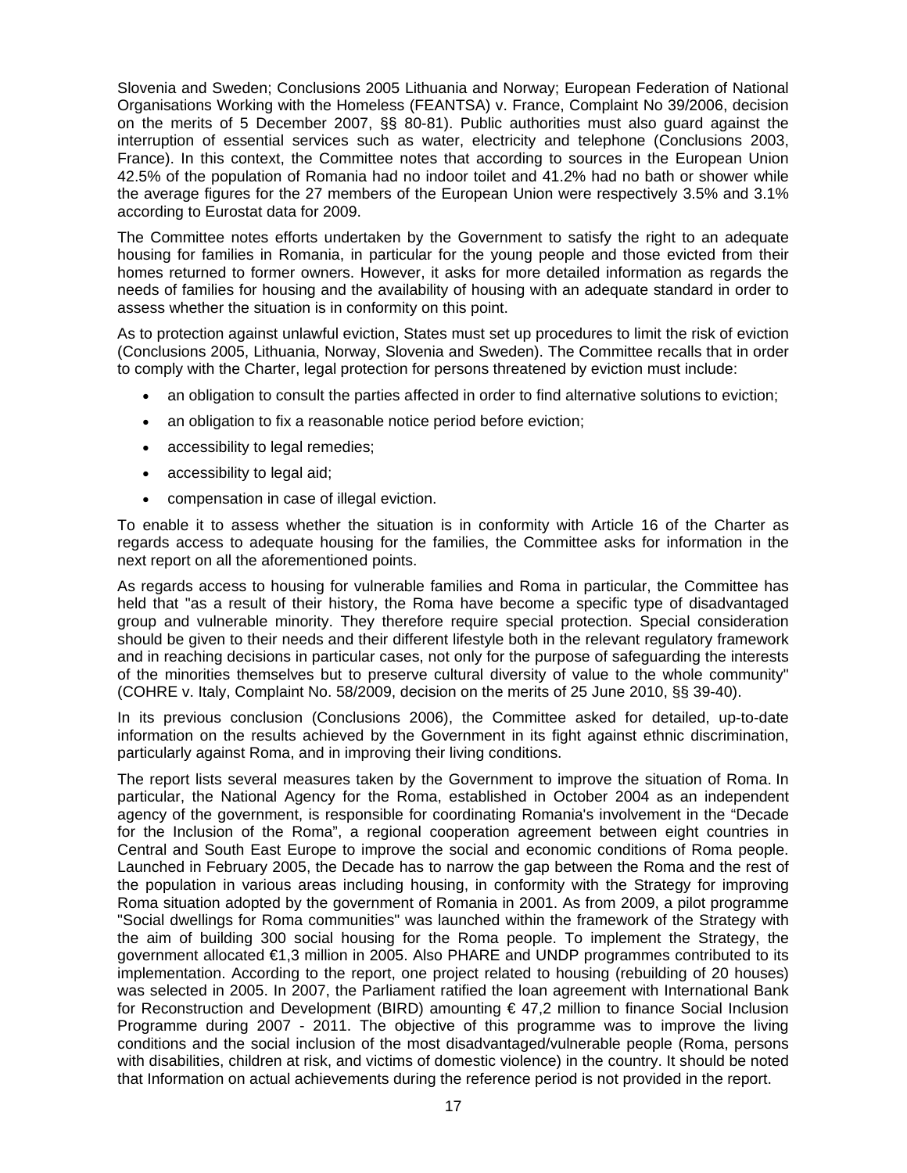Slovenia and Sweden; Conclusions 2005 Lithuania and Norway; European Federation of National Organisations Working with the Homeless (FEANTSA) v. France, Complaint No 39/2006, decision on the merits of 5 December 2007, §§ 80-81). Public authorities must also guard against the interruption of essential services such as water, electricity and telephone (Conclusions 2003, France). In this context, the Committee notes that according to sources in the European Union 42.5% of the population of Romania had no indoor toilet and 41.2% had no bath or shower while the average figures for the 27 members of the European Union were respectively 3.5% and 3.1% according to Eurostat data for 2009.

The Committee notes efforts undertaken by the Government to satisfy the right to an adequate housing for families in Romania, in particular for the young people and those evicted from their homes returned to former owners. However, it asks for more detailed information as regards the needs of families for housing and the availability of housing with an adequate standard in order to assess whether the situation is in conformity on this point.

As to protection against unlawful eviction, States must set up procedures to limit the risk of eviction (Conclusions 2005, Lithuania, Norway, Slovenia and Sweden). The Committee recalls that in order to comply with the Charter, legal protection for persons threatened by eviction must include:

- an obligation to consult the parties affected in order to find alternative solutions to eviction;
- an obligation to fix a reasonable notice period before eviction;
- accessibility to legal remedies;
- accessibility to legal aid;
- compensation in case of illegal eviction.

To enable it to assess whether the situation is in conformity with Article 16 of the Charter as regards access to adequate housing for the families, the Committee asks for information in the next report on all the aforementioned points.

As regards access to housing for vulnerable families and Roma in particular, the Committee has held that "as a result of their history, the Roma have become a specific type of disadvantaged group and vulnerable minority. They therefore require special protection. Special consideration should be given to their needs and their different lifestyle both in the relevant regulatory framework and in reaching decisions in particular cases, not only for the purpose of safeguarding the interests of the minorities themselves but to preserve cultural diversity of value to the whole community" (COHRE v. Italy, Complaint No. 58/2009, decision on the merits of 25 June 2010, §§ 39-40).

In its previous conclusion (Conclusions 2006), the Committee asked for detailed, up-to-date information on the results achieved by the Government in its fight against ethnic discrimination, particularly against Roma, and in improving their living conditions.

The report lists several measures taken by the Government to improve the situation of Roma. In particular, the National Agency for the Roma, established in October 2004 as an independent agency of the government, is responsible for coordinating Romania's involvement in the "Decade for the Inclusion of the Roma", a regional cooperation agreement between eight countries in Central and South East Europe to improve the social and economic conditions of Roma people. Launched in February 2005, the Decade has to narrow the gap between the Roma and the rest of the population in various areas including housing, in conformity with the Strategy for improving Roma situation adopted by the government of Romania in 2001. As from 2009, a pilot programme "Social dwellings for Roma communities" was launched within the framework of the Strategy with the aim of building 300 social housing for the Roma people. To implement the Strategy, the government allocated €1,3 million in 2005. Also PHARE and UNDP programmes contributed to its implementation. According to the report, one project related to housing (rebuilding of 20 houses) was selected in 2005. In 2007, the Parliament ratified the loan agreement with International Bank for Reconstruction and Development (BIRD) amounting  $\epsilon$  47,2 million to finance Social Inclusion Programme during 2007 - 2011. The objective of this programme was to improve the living conditions and the social inclusion of the most disadvantaged/vulnerable people (Roma, persons with disabilities, children at risk, and victims of domestic violence) in the country. It should be noted that Information on actual achievements during the reference period is not provided in the report.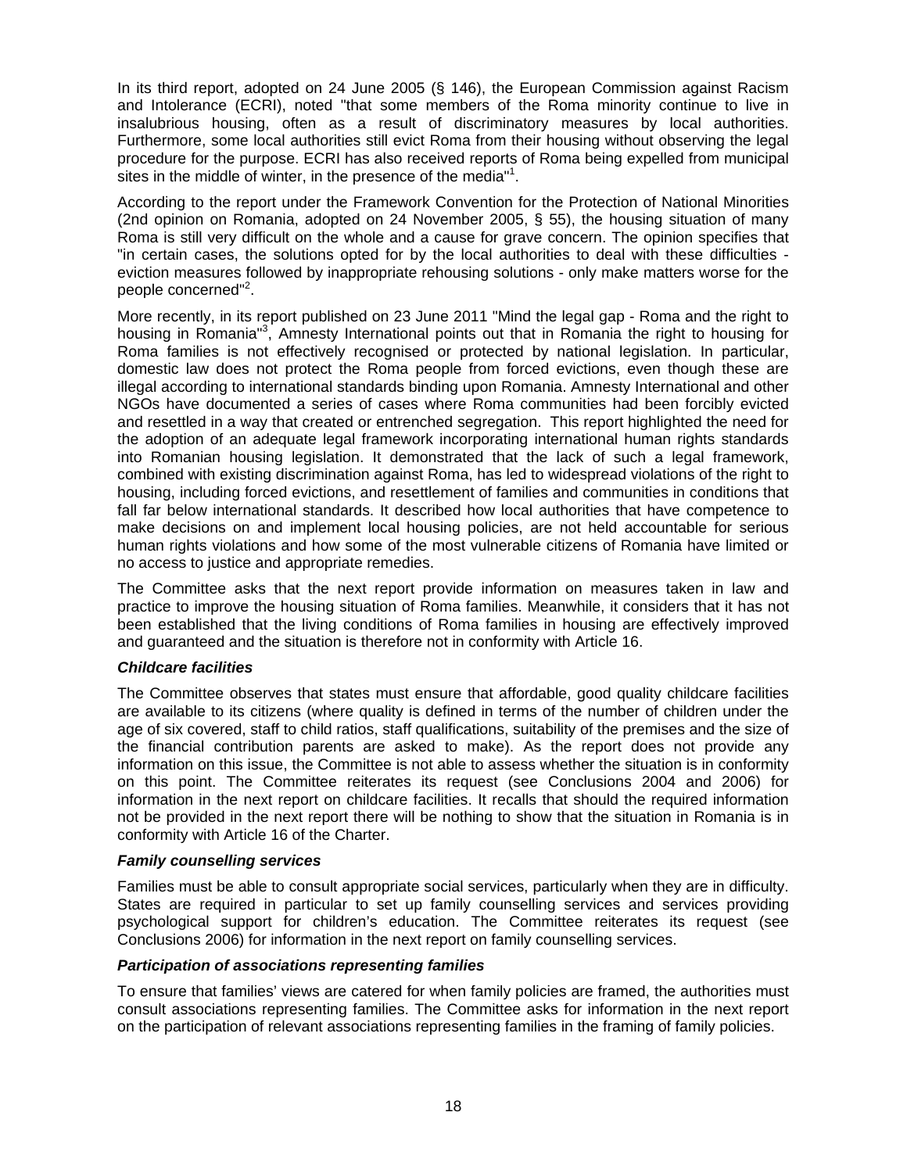In its third report, adopted on 24 June 2005 (§ 146), the European Commission against Racism and Intolerance (ECRI), noted "that some members of the Roma minority continue to live in insalubrious housing, often as a result of discriminatory measures by local authorities. Furthermore, some local authorities still evict Roma from their housing without observing the legal procedure for the purpose. ECRI has also received reports of Roma being expelled from municipal sites in the middle of winter, in the presence of the media"<sup>1</sup>.

According to the report under the Framework Convention for the Protection of National Minorities (2nd opinion on Romania, adopted on 24 November 2005, § 55), the housing situation of many Roma is still very difficult on the whole and a cause for grave concern. The opinion specifies that "in certain cases, the solutions opted for by the local authorities to deal with these difficulties eviction measures followed by inappropriate rehousing solutions - only make matters worse for the people concerned"<sup>2</sup>.

More recently, in its report published on 23 June 2011 "Mind the legal gap - Roma and the right to housing in Romania<sup>"3</sup>, Amnesty International points out that in Romania the right to housing for Roma families is not effectively recognised or protected by national legislation. In particular, domestic law does not protect the Roma people from forced evictions, even though these are illegal according to international standards binding upon Romania. Amnesty International and other NGOs have documented a series of cases where Roma communities had been forcibly evicted and resettled in a way that created or entrenched segregation. This report highlighted the need for the adoption of an adequate legal framework incorporating international human rights standards into Romanian housing legislation. It demonstrated that the lack of such a legal framework, combined with existing discrimination against Roma, has led to widespread violations of the right to housing, including forced evictions, and resettlement of families and communities in conditions that fall far below international standards. It described how local authorities that have competence to make decisions on and implement local housing policies, are not held accountable for serious human rights violations and how some of the most vulnerable citizens of Romania have limited or no access to justice and appropriate remedies.

The Committee asks that the next report provide information on measures taken in law and practice to improve the housing situation of Roma families. Meanwhile, it considers that it has not been established that the living conditions of Roma families in housing are effectively improved and guaranteed and the situation is therefore not in conformity with Article 16.

# *Childcare facilities*

The Committee observes that states must ensure that affordable, good quality childcare facilities are available to its citizens (where quality is defined in terms of the number of children under the age of six covered, staff to child ratios, staff qualifications, suitability of the premises and the size of the financial contribution parents are asked to make). As the report does not provide any information on this issue, the Committee is not able to assess whether the situation is in conformity on this point. The Committee reiterates its request (see Conclusions 2004 and 2006) for information in the next report on childcare facilities. It recalls that should the required information not be provided in the next report there will be nothing to show that the situation in Romania is in conformity with Article 16 of the Charter.

#### *Family counselling services*

Families must be able to consult appropriate social services, particularly when they are in difficulty. States are required in particular to set up family counselling services and services providing psychological support for children's education. The Committee reiterates its request (see Conclusions 2006) for information in the next report on family counselling services.

# *Participation of associations representing families*

To ensure that families' views are catered for when family policies are framed, the authorities must consult associations representing families. The Committee asks for information in the next report on the participation of relevant associations representing families in the framing of family policies.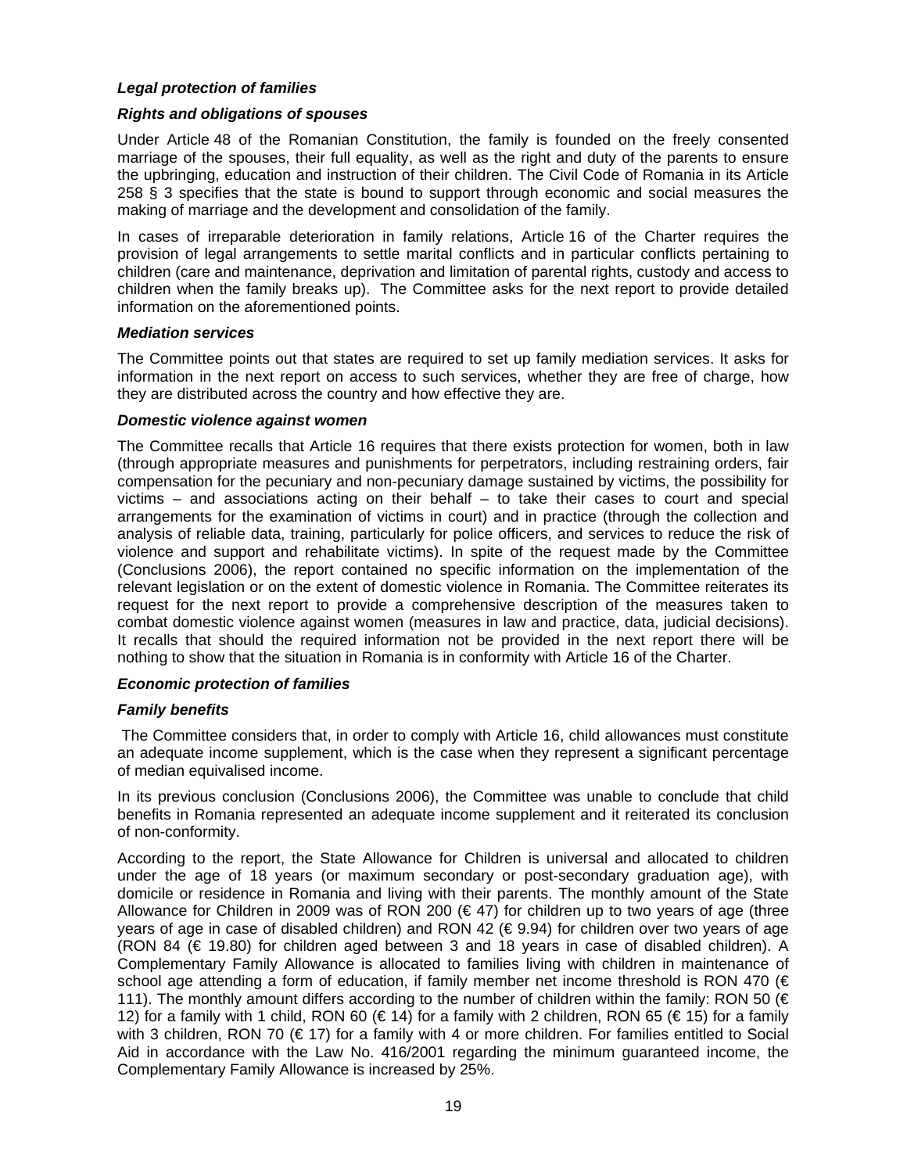# *Legal protection of families*

# *Rights and obligations of spouses*

Under Article 48 of the Romanian Constitution, the family is founded on the freely consented marriage of the spouses, their full equality, as well as the right and duty of the parents to ensure the upbringing, education and instruction of their children. The Civil Code of Romania in its Article 258 § 3 specifies that the state is bound to support through economic and social measures the making of marriage and the development and consolidation of the family.

In cases of irreparable deterioration in family relations, Article 16 of the Charter requires the provision of legal arrangements to settle marital conflicts and in particular conflicts pertaining to children (care and maintenance, deprivation and limitation of parental rights, custody and access to children when the family breaks up). The Committee asks for the next report to provide detailed information on the aforementioned points.

#### *Mediation services*

The Committee points out that states are required to set up family mediation services. It asks for information in the next report on access to such services, whether they are free of charge, how they are distributed across the country and how effective they are.

#### *Domestic violence against women*

The Committee recalls that Article 16 requires that there exists protection for women, both in law (through appropriate measures and punishments for perpetrators, including restraining orders, fair compensation for the pecuniary and non-pecuniary damage sustained by victims, the possibility for victims – and associations acting on their behalf – to take their cases to court and special arrangements for the examination of victims in court) and in practice (through the collection and analysis of reliable data, training, particularly for police officers, and services to reduce the risk of violence and support and rehabilitate victims). In spite of the request made by the Committee (Conclusions 2006), the report contained no specific information on the implementation of the relevant legislation or on the extent of domestic violence in Romania. The Committee reiterates its request for the next report to provide a comprehensive description of the measures taken to combat domestic violence against women (measures in law and practice, data, judicial decisions). It recalls that should the required information not be provided in the next report there will be nothing to show that the situation in Romania is in conformity with Article 16 of the Charter.

#### *Economic protection of families*

#### *Family benefits*

The Committee considers that, in order to comply with Article 16, child allowances must constitute an adequate income supplement, which is the case when they represent a significant percentage of median equivalised income.

In its previous conclusion (Conclusions 2006), the Committee was unable to conclude that child benefits in Romania represented an adequate income supplement and it reiterated its conclusion of non-conformity.

According to the report, the State Allowance for Children is universal and allocated to children under the age of 18 years (or maximum secondary or post-secondary graduation age), with domicile or residence in Romania and living with their parents. The monthly amount of the State Allowance for Children in 2009 was of RON 200 ( $\epsilon$  47) for children up to two years of age (three years of age in case of disabled children) and RON 42 ( $\in$  9.94) for children over two years of age (RON 84  $(E$  19.80) for children aged between 3 and 18 years in case of disabled children). A Complementary Family Allowance is allocated to families living with children in maintenance of school age attending a form of education, if family member net income threshold is RON 470 (€ 111). The monthly amount differs according to the number of children within the family: RON 50 (€ 12) for a family with 1 child, RON 60 (€ 14) for a family with 2 children, RON 65 (€ 15) for a family with 3 children, RON 70 (€ 17) for a family with 4 or more children. For families entitled to Social Aid in accordance with the Law No. 416/2001 regarding the minimum guaranteed income, the Complementary Family Allowance is increased by 25%.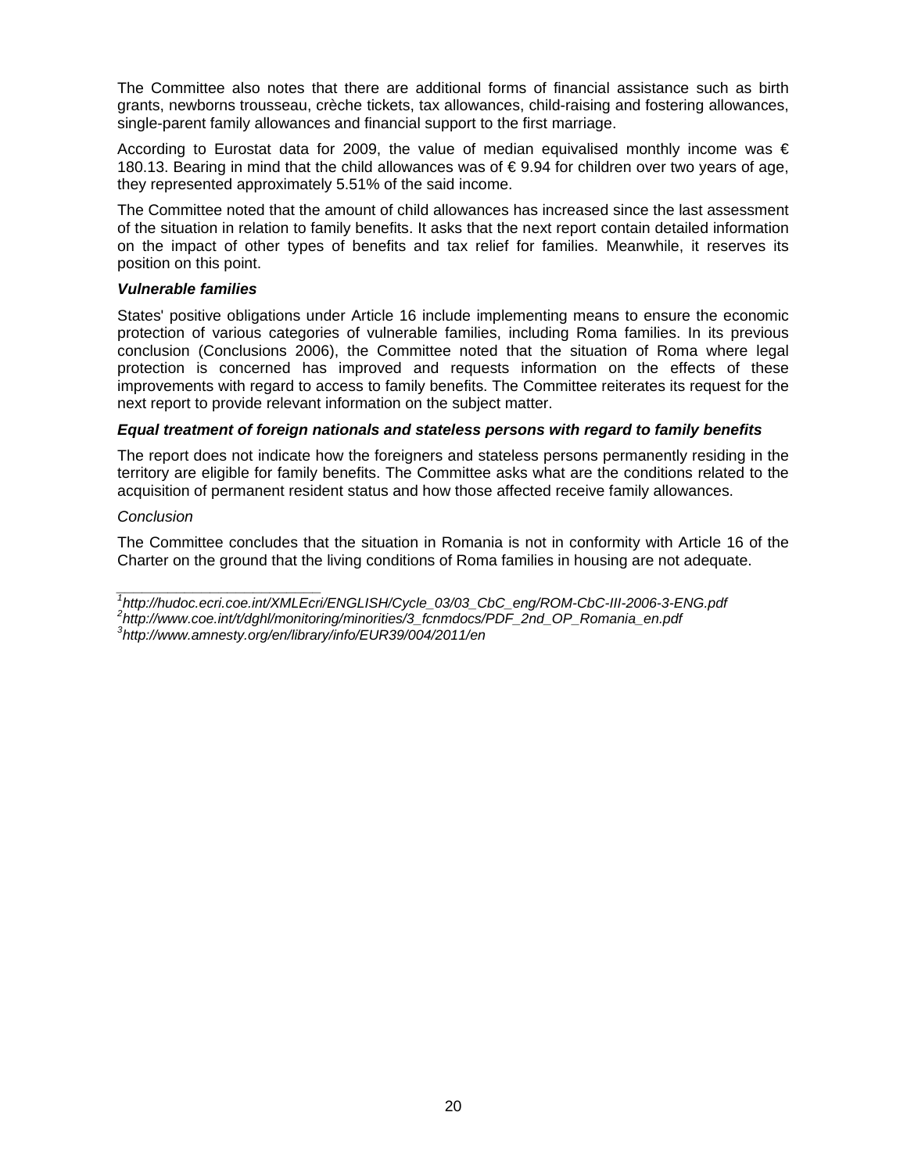The Committee also notes that there are additional forms of financial assistance such as birth grants, newborns trousseau, crèche tickets, tax allowances, child-raising and fostering allowances, single-parent family allowances and financial support to the first marriage.

According to Eurostat data for 2009, the value of median equivalised monthly income was  $\epsilon$ 180.13. Bearing in mind that the child allowances was of € 9.94 for children over two years of age, they represented approximately 5.51% of the said income.

The Committee noted that the amount of child allowances has increased since the last assessment of the situation in relation to family benefits. It asks that the next report contain detailed information on the impact of other types of benefits and tax relief for families. Meanwhile, it reserves its position on this point.

## *Vulnerable families*

States' positive obligations under Article 16 include implementing means to ensure the economic protection of various categories of vulnerable families, including Roma families. In its previous conclusion (Conclusions 2006), the Committee noted that the situation of Roma where legal protection is concerned has improved and requests information on the effects of these improvements with regard to access to family benefits. The Committee reiterates its request for the next report to provide relevant information on the subject matter.

# *Equal treatment of foreign nationals and stateless persons with regard to family benefits*

The report does not indicate how the foreigners and stateless persons permanently residing in the territory are eligible for family benefits. The Committee asks what are the conditions related to the acquisition of permanent resident status and how those affected receive family allowances.

# *Conclusion*

*\_\_\_\_\_\_\_\_\_\_\_\_\_\_\_\_\_\_\_\_\_\_\_\_* 

The Committee concludes that the situation in Romania is not in conformity with Article 16 of the Charter on the ground that the living conditions of Roma families in housing are not adequate.

*<sup>1</sup> http://hudoc.ecri.coe.int/XMLEcri/ENGLISH/Cycle\_03/03\_CbC\_eng/ROM-CbC-III-2006-3-ENG.pdf* 

*<sup>2</sup> http://www.coe.int/t/dghl/monitoring/minorities/3\_fcnmdocs/PDF\_2nd\_OP\_Romania\_en.pdf 3 http://www.amnesty.org/en/library/info/EUR39/004/2011/en*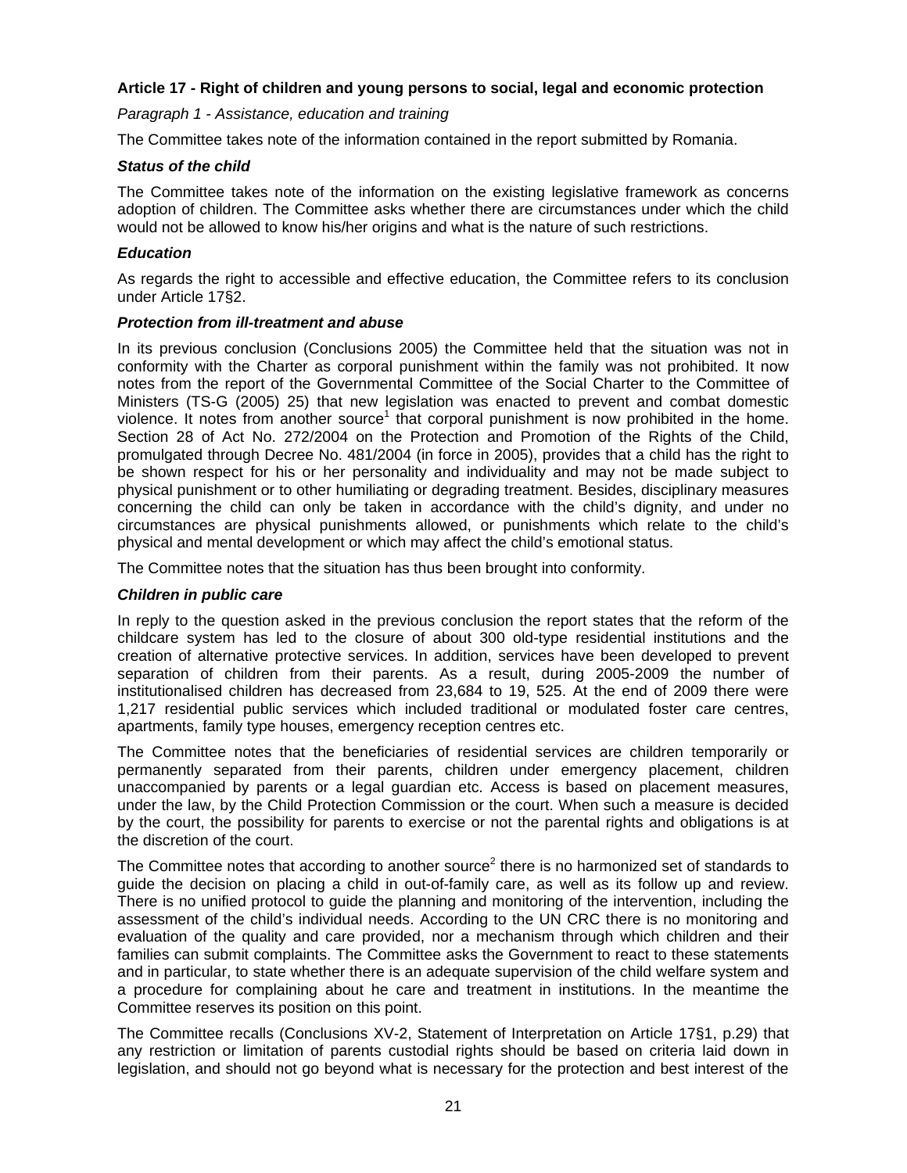# **Article 17 - Right of children and young persons to social, legal and economic protection**

*Paragraph 1 - Assistance, education and training* 

The Committee takes note of the information contained in the report submitted by Romania.

# *Status of the child*

The Committee takes note of the information on the existing legislative framework as concerns adoption of children. The Committee asks whether there are circumstances under which the child would not be allowed to know his/her origins and what is the nature of such restrictions.

# *Education*

As regards the right to accessible and effective education, the Committee refers to its conclusion under Article 17§2.

# *Protection from ill-treatment and abuse*

In its previous conclusion (Conclusions 2005) the Committee held that the situation was not in conformity with the Charter as corporal punishment within the family was not prohibited. It now notes from the report of the Governmental Committee of the Social Charter to the Committee of Ministers (TS-G (2005) 25) that new legislation was enacted to prevent and combat domestic violence. It notes from another source<sup>1</sup> that corporal punishment is now prohibited in the home. Section 28 of Act No. 272/2004 on the Protection and Promotion of the Rights of the Child, promulgated through Decree No. 481/2004 (in force in 2005), provides that a child has the right to be shown respect for his or her personality and individuality and may not be made subject to physical punishment or to other humiliating or degrading treatment. Besides, disciplinary measures concerning the child can only be taken in accordance with the child's dignity, and under no circumstances are physical punishments allowed, or punishments which relate to the child's physical and mental development or which may affect the child's emotional status.

The Committee notes that the situation has thus been brought into conformity.

## *Children in public care*

In reply to the question asked in the previous conclusion the report states that the reform of the childcare system has led to the closure of about 300 old-type residential institutions and the creation of alternative protective services. In addition, services have been developed to prevent separation of children from their parents. As a result, during 2005-2009 the number of institutionalised children has decreased from 23,684 to 19, 525. At the end of 2009 there were 1,217 residential public services which included traditional or modulated foster care centres, apartments, family type houses, emergency reception centres etc.

The Committee notes that the beneficiaries of residential services are children temporarily or permanently separated from their parents, children under emergency placement, children unaccompanied by parents or a legal guardian etc. Access is based on placement measures, under the law, by the Child Protection Commission or the court. When such a measure is decided by the court, the possibility for parents to exercise or not the parental rights and obligations is at the discretion of the court.

The Committee notes that according to another source<sup>2</sup> there is no harmonized set of standards to guide the decision on placing a child in out-of-family care, as well as its follow up and review. There is no unified protocol to guide the planning and monitoring of the intervention, including the assessment of the child's individual needs. According to the UN CRC there is no monitoring and evaluation of the quality and care provided, nor a mechanism through which children and their families can submit complaints. The Committee asks the Government to react to these statements and in particular, to state whether there is an adequate supervision of the child welfare system and a procedure for complaining about he care and treatment in institutions. In the meantime the Committee reserves its position on this point.

The Committee recalls (Conclusions XV-2, Statement of Interpretation on Article 17§1, p.29) that any restriction or limitation of parents custodial rights should be based on criteria laid down in legislation, and should not go beyond what is necessary for the protection and best interest of the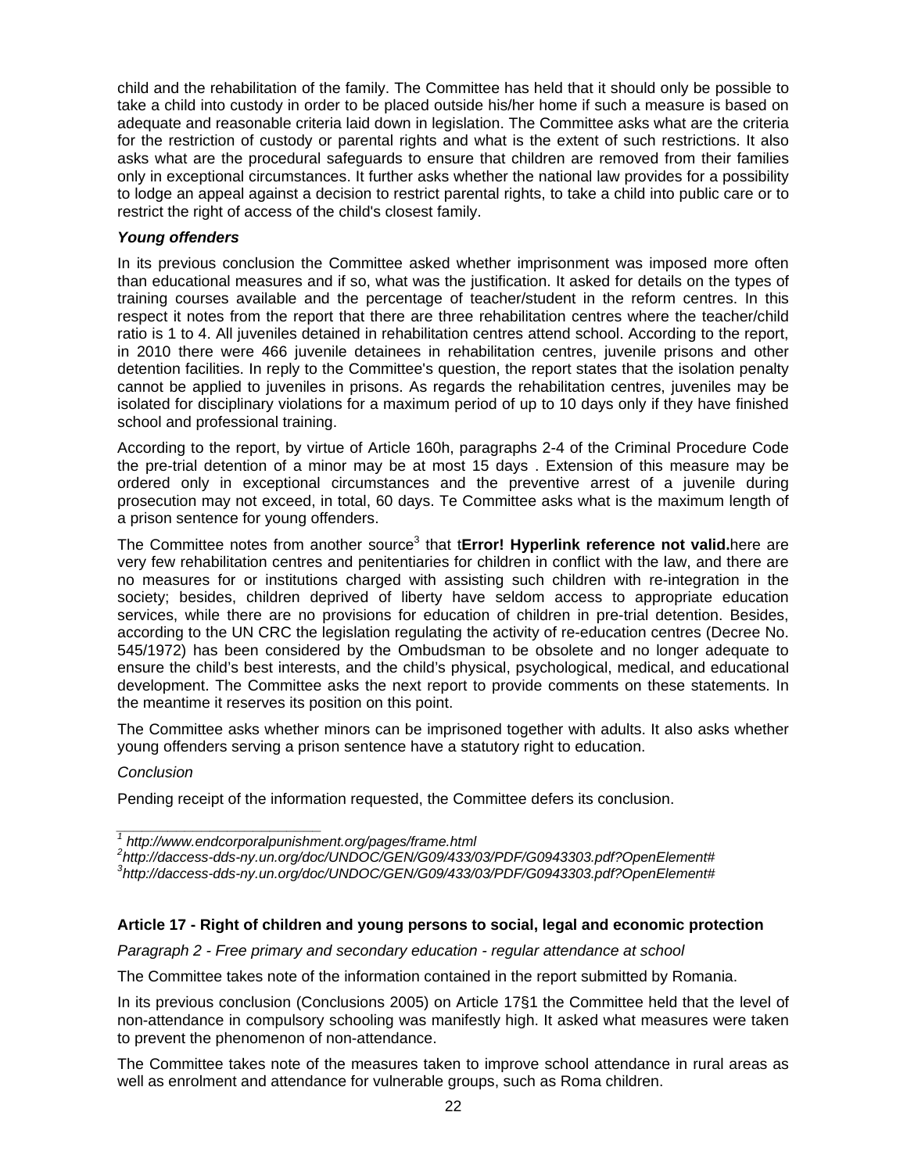child and the rehabilitation of the family. The Committee has held that it should only be possible to take a child into custody in order to be placed outside his/her home if such a measure is based on adequate and reasonable criteria laid down in legislation. The Committee asks what are the criteria for the restriction of custody or parental rights and what is the extent of such restrictions. It also asks what are the procedural safeguards to ensure that children are removed from their families only in exceptional circumstances. It further asks whether the national law provides for a possibility to lodge an appeal against a decision to restrict parental rights, to take a child into public care or to restrict the right of access of the child's closest family.

# *Young offenders*

In its previous conclusion the Committee asked whether imprisonment was imposed more often than educational measures and if so, what was the justification. It asked for details on the types of training courses available and the percentage of teacher/student in the reform centres. In this respect it notes from the report that there are three rehabilitation centres where the teacher/child ratio is 1 to 4. All juveniles detained in rehabilitation centres attend school. According to the report, in 2010 there were 466 juvenile detainees in rehabilitation centres, juvenile prisons and other detention facilities. In reply to the Committee's question, the report states that the isolation penalty cannot be applied to juveniles in prisons. As regards the rehabilitation centres, juveniles may be isolated for disciplinary violations for a maximum period of up to 10 days only if they have finished school and professional training.

According to the report, by virtue of Article 160h, paragraphs 2-4 of the Criminal Procedure Code the pre-trial detention of a minor may be at most 15 days . Extension of this measure may be ordered only in exceptional circumstances and the preventive arrest of a juvenile during prosecution may not exceed, in total, 60 days. Te Committee asks what is the maximum length of a prison sentence for young offenders.

The Committee notes from another source<sup>3</sup> that tError! Hyperlink reference not valid.here are very few rehabilitation centres and penitentiaries for children in conflict with the law, and there are no measures for or institutions charged with assisting such children with re-integration in the society; besides, children deprived of liberty have seldom access to appropriate education services, while there are no provisions for education of children in pre-trial detention. Besides, according to the UN CRC the legislation regulating the activity of re-education centres (Decree No. 545/1972) has been considered by the Ombudsman to be obsolete and no longer adequate to ensure the child's best interests, and the child's physical, psychological, medical, and educational development. The Committee asks the next report to provide comments on these statements. In the meantime it reserves its position on this point.

The Committee asks whether minors can be imprisoned together with adults. It also asks whether young offenders serving a prison sentence have a statutory right to education.

#### *Conclusion*

Pending receipt of the information requested, the Committee defers its conclusion.

*2 http://daccess-dds-ny.un.org/doc/UNDOC/GEN/G09/433/03/PDF/G0943303.pdf?OpenElement#* 

# **Article 17 - Right of children and young persons to social, legal and economic protection**

*Paragraph 2 - Free primary and secondary education - regular attendance at school* 

The Committee takes note of the information contained in the report submitted by Romania.

In its previous conclusion (Conclusions 2005) on Article 17§1 the Committee held that the level of non-attendance in compulsory schooling was manifestly high. It asked what measures were taken to prevent the phenomenon of non-attendance.

The Committee takes note of the measures taken to improve school attendance in rural areas as well as enrolment and attendance for vulnerable groups, such as Roma children.

*\_\_\_\_\_\_\_\_\_\_\_\_\_\_\_\_\_\_\_\_\_\_\_\_ 1 http://www.endcorporalpunishment.org/pages/frame.html* 

*<sup>3</sup> http://daccess-dds-ny.un.org/doc/UNDOC/GEN/G09/433/03/PDF/G0943303.pdf?OpenElement#*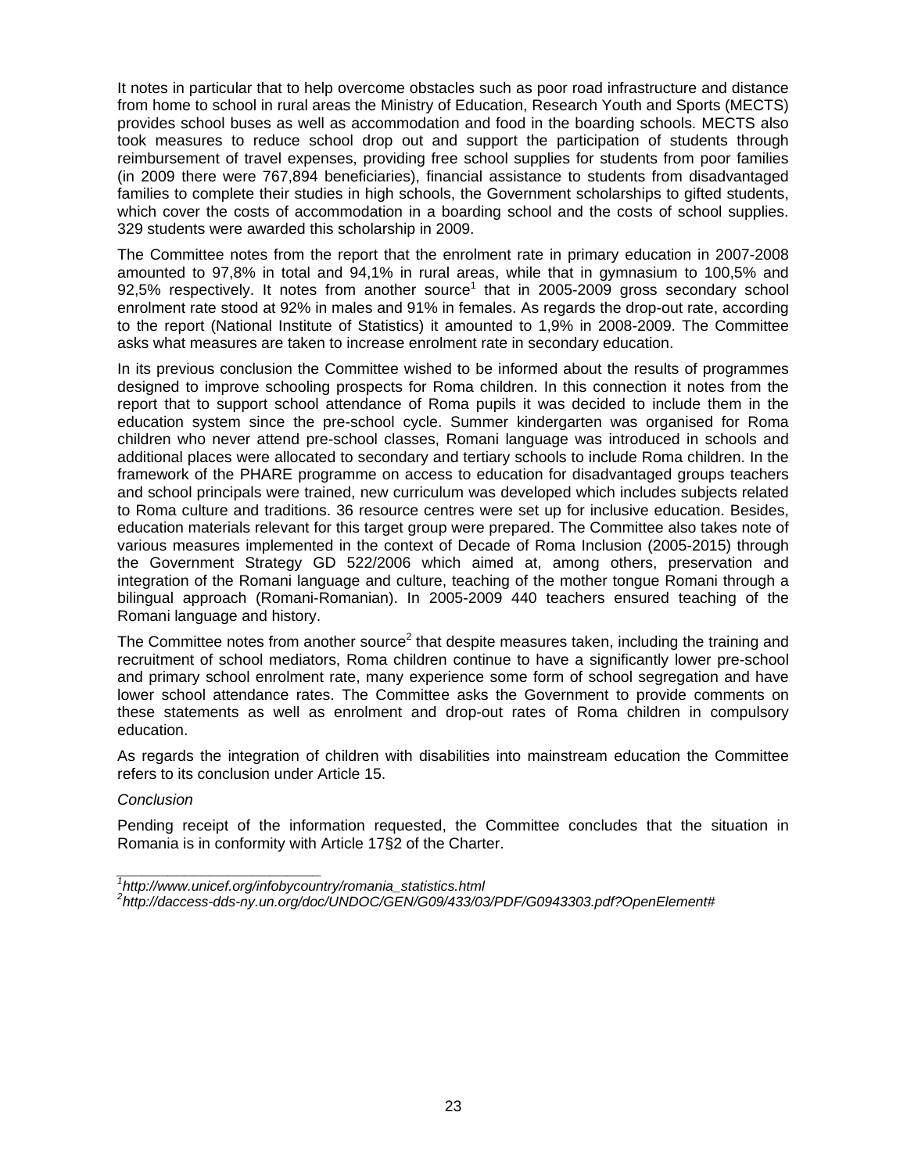It notes in particular that to help overcome obstacles such as poor road infrastructure and distance from home to school in rural areas the Ministry of Education, Research Youth and Sports (MECTS) provides school buses as well as accommodation and food in the boarding schools. MECTS also took measures to reduce school drop out and support the participation of students through reimbursement of travel expenses, providing free school supplies for students from poor families (in 2009 there were 767,894 beneficiaries), financial assistance to students from disadvantaged families to complete their studies in high schools, the Government scholarships to gifted students, which cover the costs of accommodation in a boarding school and the costs of school supplies. 329 students were awarded this scholarship in 2009.

The Committee notes from the report that the enrolment rate in primary education in 2007-2008 amounted to 97,8% in total and 94,1% in rural areas, while that in gymnasium to 100,5% and  $92,5%$  respectively. It notes from another source<sup>1</sup> that in 2005-2009 gross secondary school enrolment rate stood at 92% in males and 91% in females. As regards the drop-out rate, according to the report (National Institute of Statistics) it amounted to 1,9% in 2008-2009. The Committee asks what measures are taken to increase enrolment rate in secondary education.

In its previous conclusion the Committee wished to be informed about the results of programmes designed to improve schooling prospects for Roma children. In this connection it notes from the report that to support school attendance of Roma pupils it was decided to include them in the education system since the pre-school cycle. Summer kindergarten was organised for Roma children who never attend pre-school classes, Romani language was introduced in schools and additional places were allocated to secondary and tertiary schools to include Roma children. In the framework of the PHARE programme on access to education for disadvantaged groups teachers and school principals were trained, new curriculum was developed which includes subjects related to Roma culture and traditions. 36 resource centres were set up for inclusive education. Besides, education materials relevant for this target group were prepared. The Committee also takes note of various measures implemented in the context of Decade of Roma Inclusion (2005-2015) through the Government Strategy GD 522/2006 which aimed at, among others, preservation and integration of the Romani language and culture, teaching of the mother tongue Romani through a bilingual approach (Romani-Romanian). In 2005-2009 440 teachers ensured teaching of the Romani language and history.

The Committee notes from another source<sup>2</sup> that despite measures taken, including the training and recruitment of school mediators, Roma children continue to have a significantly lower pre-school and primary school enrolment rate, many experience some form of school segregation and have lower school attendance rates. The Committee asks the Government to provide comments on these statements as well as enrolment and drop-out rates of Roma children in compulsory education.

As regards the integration of children with disabilities into mainstream education the Committee refers to its conclusion under Article 15.

#### *Conclusion*

*\_\_\_\_\_\_\_\_\_\_\_\_\_\_\_\_\_\_\_\_\_\_\_\_* 

Pending receipt of the information requested, the Committee concludes that the situation in Romania is in conformity with Article 17§2 of the Charter.

*<sup>1</sup> http://www.unicef.org/infobycountry/romania\_statistics.html* 

*<sup>2</sup> http://daccess-dds-ny.un.org/doc/UNDOC/GEN/G09/433/03/PDF/G0943303.pdf?OpenElement#*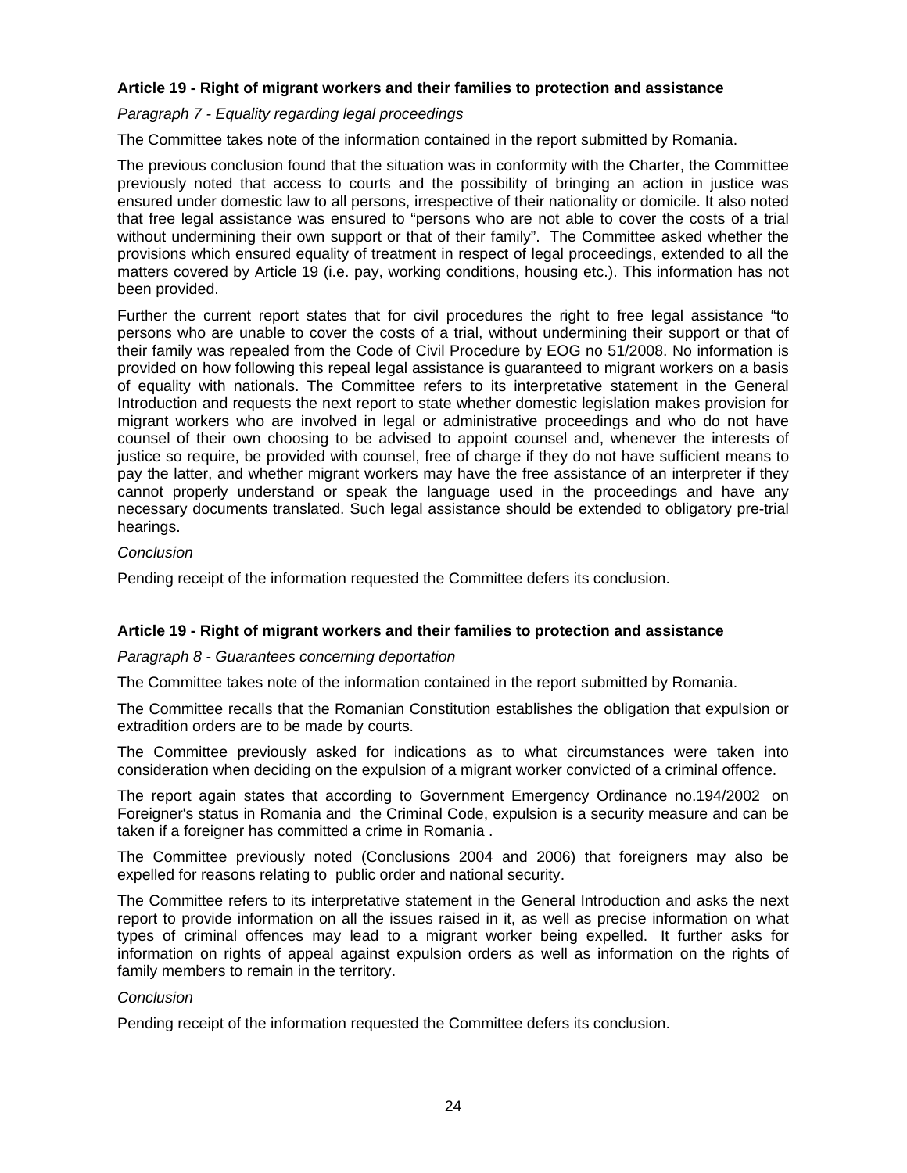# **Article 19 - Right of migrant workers and their families to protection and assistance**

# *Paragraph 7 - Equality regarding legal proceedings*

The Committee takes note of the information contained in the report submitted by Romania.

The previous conclusion found that the situation was in conformity with the Charter, the Committee previously noted that access to courts and the possibility of bringing an action in justice was ensured under domestic law to all persons, irrespective of their nationality or domicile. It also noted that free legal assistance was ensured to "persons who are not able to cover the costs of a trial without undermining their own support or that of their family". The Committee asked whether the provisions which ensured equality of treatment in respect of legal proceedings, extended to all the matters covered by Article 19 (i.e. pay, working conditions, housing etc.). This information has not been provided.

Further the current report states that for civil procedures the right to free legal assistance "to persons who are unable to cover the costs of a trial, without undermining their support or that of their family was repealed from the Code of Civil Procedure by EOG no 51/2008. No information is provided on how following this repeal legal assistance is guaranteed to migrant workers on a basis of equality with nationals. The Committee refers to its interpretative statement in the General Introduction and requests the next report to state whether domestic legislation makes provision for migrant workers who are involved in legal or administrative proceedings and who do not have counsel of their own choosing to be advised to appoint counsel and, whenever the interests of justice so require, be provided with counsel, free of charge if they do not have sufficient means to pay the latter, and whether migrant workers may have the free assistance of an interpreter if they cannot properly understand or speak the language used in the proceedings and have any necessary documents translated. Such legal assistance should be extended to obligatory pre-trial hearings.

#### *Conclusion*

Pending receipt of the information requested the Committee defers its conclusion.

#### **Article 19 - Right of migrant workers and their families to protection and assistance**

#### *Paragraph 8 - Guarantees concerning deportation*

The Committee takes note of the information contained in the report submitted by Romania.

The Committee recalls that the Romanian Constitution establishes the obligation that expulsion or extradition orders are to be made by courts.

The Committee previously asked for indications as to what circumstances were taken into consideration when deciding on the expulsion of a migrant worker convicted of a criminal offence.

The report again states that according to Government Emergency Ordinance no.194/2002 on Foreigner's status in Romania and the Criminal Code, expulsion is a security measure and can be taken if a foreigner has committed a crime in Romania .

The Committee previously noted (Conclusions 2004 and 2006) that foreigners may also be expelled for reasons relating to public order and national security.

The Committee refers to its interpretative statement in the General Introduction and asks the next report to provide information on all the issues raised in it, as well as precise information on what types of criminal offences may lead to a migrant worker being expelled. It further asks for information on rights of appeal against expulsion orders as well as information on the rights of family members to remain in the territory.

#### *Conclusion*

Pending receipt of the information requested the Committee defers its conclusion.